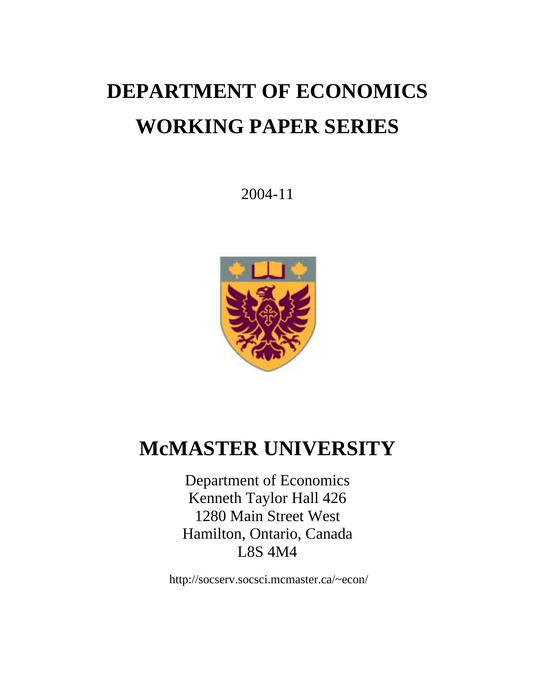# **DEPARTMENT OF ECONOMICS WORKING PAPER SERIES**

2004-11



# **McMASTER UNIVERSITY**

Department of Economics Kenneth Taylor Hall 426 1280 Main Street West Hamilton, Ontario, Canada L8S 4M4

http://socserv.socsci.mcmaster.ca/~econ/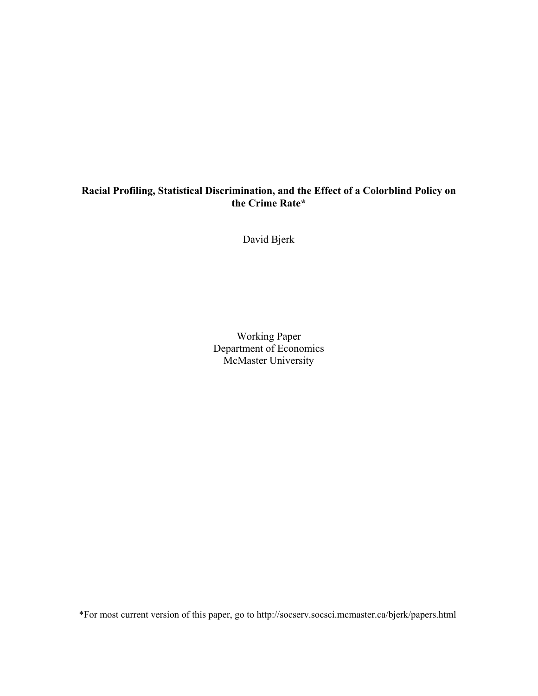## **Racial Profiling, Statistical Discrimination, and the Effect of a Colorblind Policy on the Crime Rate\***

David Bjerk

Working Paper Department of Economics McMaster University

\*For most current version of this paper, go to http://socserv.socsci.mcmaster.ca/bjerk/papers.html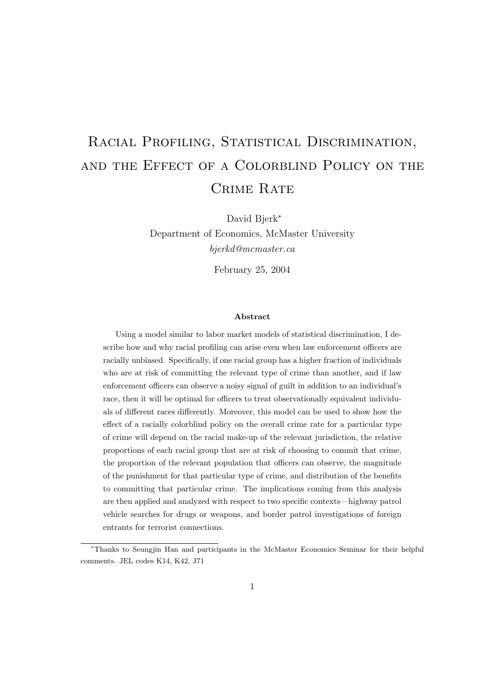# RACIAL PROFILING, STATISTICAL DISCRIMINATION, and the Effect of a Colorblind Policy on the CRIME RATE

David Bjerk<sup>∗</sup>

Department of Economics, McMaster University bjerkd@mcmaster.ca

February 25, 2004

#### Abstract

Using a model similar to labor market models of statistical discrimination, I describe how and why racial profiling can arise even when law enforcement officers are racially unbiased. Specifically, if one racial group has a higher fraction of individuals who are at risk of committing the relevant type of crime than another, and if law enforcement officers can observe a noisy signal of guilt in addition to an individual's race, then it will be optimal for officers to treat observationally equivalent individuals of different races differently. Moreover, this model can be used to show how the effect of a racially colorblind policy on the overall crime rate for a particular type of crime will depend on the racial make-up of the relevant jurisdiction, the relative proportions of each racial group that are at risk of choosing to commit that crime, the proportion of the relevant population that officers can observe, the magnitude of the punishment for that particular type of crime, and distribution of the benefits to committing that particular crime. The implications coming from this analysis are then applied and analyzed with respect to two specific contexts—highway patrol vehicle searches for drugs or weapons, and border patrol investigations of foreign entrants for terrorist connections.

<sup>∗</sup>Thanks to Seungjin Han and participants in the McMaster Economics Seminar for their helpful comments. JEL codes K14, K42, J71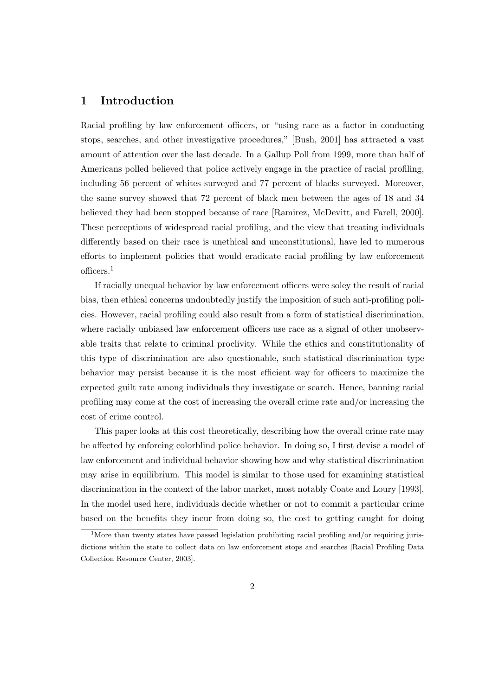## 1 Introduction

Racial profiling by law enforcement officers, or "using race as a factor in conducting stops, searches, and other investigative procedures," [Bush, 2001] has attracted a vast amount of attention over the last decade. In a Gallup Poll from 1999, more than half of Americans polled believed that police actively engage in the practice of racial profiling, including 56 percent of whites surveyed and 77 percent of blacks surveyed. Moreover, the same survey showed that 72 percent of black men between the ages of 18 and 34 believed they had been stopped because of race [Ramirez, McDevitt, and Farell, 2000]. These perceptions of widespread racial profiling, and the view that treating individuals differently based on their race is unethical and unconstitutional, have led to numerous efforts to implement policies that would eradicate racial profiling by law enforcement officers.<sup>1</sup>

If racially unequal behavior by law enforcement officers were soley the result of racial bias, then ethical concerns undoubtedly justify the imposition of such anti-profiling policies. However, racial profiling could also result from a form of statistical discrimination, where racially unbiased law enforcement officers use race as a signal of other unobservable traits that relate to criminal proclivity. While the ethics and constitutionality of this type of discrimination are also questionable, such statistical discrimination type behavior may persist because it is the most efficient way for officers to maximize the expected guilt rate among individuals they investigate or search. Hence, banning racial profiling may come at the cost of increasing the overall crime rate and/or increasing the cost of crime control.

This paper looks at this cost theoretically, describing how the overall crime rate may be affected by enforcing colorblind police behavior. In doing so, I first devise a model of law enforcement and individual behavior showing how and why statistical discrimination may arise in equilibrium. This model is similar to those used for examining statistical discrimination in the context of the labor market, most notably Coate and Loury [1993]. In the model used here, individuals decide whether or not to commit a particular crime based on the benefits they incur from doing so, the cost to getting caught for doing

<sup>&</sup>lt;sup>1</sup>More than twenty states have passed legislation prohibiting racial profiling and/or requiring jurisdictions within the state to collect data on law enforcement stops and searches [Racial Profiling Data Collection Resource Center, 2003].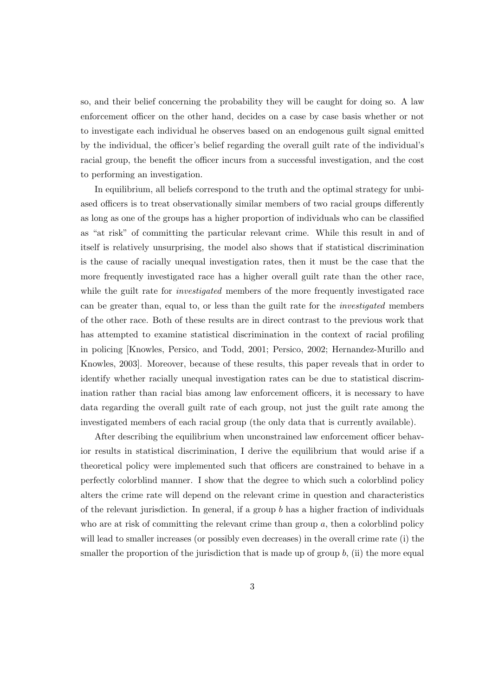so, and their belief concerning the probability they will be caught for doing so. A law enforcement officer on the other hand, decides on a case by case basis whether or not to investigate each individual he observes based on an endogenous guilt signal emitted by the individual, the officer's belief regarding the overall guilt rate of the individual's racial group, the benefit the officer incurs from a successful investigation, and the cost to performing an investigation.

In equilibrium, all beliefs correspond to the truth and the optimal strategy for unbiased officers is to treat observationally similar members of two racial groups differently as long as one of the groups has a higher proportion of individuals who can be classified as "at risk" of committing the particular relevant crime. While this result in and of itself is relatively unsurprising, the model also shows that if statistical discrimination is the cause of racially unequal investigation rates, then it must be the case that the more frequently investigated race has a higher overall guilt rate than the other race, while the guilt rate for *investigated* members of the more frequently investigated race can be greater than, equal to, or less than the guilt rate for the investigated members of the other race. Both of these results are in direct contrast to the previous work that has attempted to examine statistical discrimination in the context of racial profiling in policing [Knowles, Persico, and Todd, 2001; Persico, 2002; Hernandez-Murillo and Knowles, 2003]. Moreover, because of these results, this paper reveals that in order to identify whether racially unequal investigation rates can be due to statistical discrimination rather than racial bias among law enforcement officers, it is necessary to have data regarding the overall guilt rate of each group, not just the guilt rate among the investigated members of each racial group (the only data that is currently available).

After describing the equilibrium when unconstrained law enforcement officer behavior results in statistical discrimination, I derive the equilibrium that would arise if a theoretical policy were implemented such that officers are constrained to behave in a perfectly colorblind manner. I show that the degree to which such a colorblind policy alters the crime rate will depend on the relevant crime in question and characteristics of the relevant jurisdiction. In general, if a group  $b$  has a higher fraction of individuals who are at risk of committing the relevant crime than group  $a$ , then a colorblind policy will lead to smaller increases (or possibly even decreases) in the overall crime rate (i) the smaller the proportion of the jurisdiction that is made up of group  $b$ , (ii) the more equal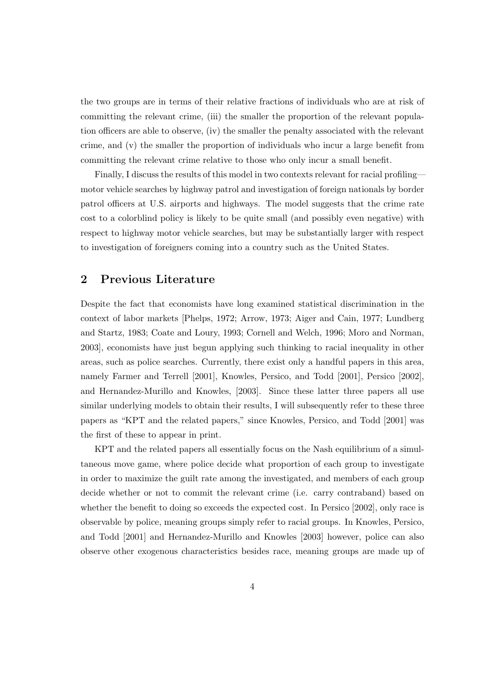the two groups are in terms of their relative fractions of individuals who are at risk of committing the relevant crime, (iii) the smaller the proportion of the relevant population officers are able to observe, (iv) the smaller the penalty associated with the relevant crime, and (v) the smaller the proportion of individuals who incur a large benefit from committing the relevant crime relative to those who only incur a small benefit.

Finally, I discuss the results of this model in two contexts relevant for racial profiling motor vehicle searches by highway patrol and investigation of foreign nationals by border patrol officers at U.S. airports and highways. The model suggests that the crime rate cost to a colorblind policy is likely to be quite small (and possibly even negative) with respect to highway motor vehicle searches, but may be substantially larger with respect to investigation of foreigners coming into a country such as the United States.

### 2 Previous Literature

Despite the fact that economists have long examined statistical discrimination in the context of labor markets [Phelps, 1972; Arrow, 1973; Aiger and Cain, 1977; Lundberg and Startz, 1983; Coate and Loury, 1993; Cornell and Welch, 1996; Moro and Norman, 2003], economists have just begun applying such thinking to racial inequality in other areas, such as police searches. Currently, there exist only a handful papers in this area, namely Farmer and Terrell [2001], Knowles, Persico, and Todd [2001], Persico [2002], and Hernandez-Murillo and Knowles, [2003]. Since these latter three papers all use similar underlying models to obtain their results, I will subsequently refer to these three papers as "KPT and the related papers," since Knowles, Persico, and Todd [2001] was the first of these to appear in print.

KPT and the related papers all essentially focus on the Nash equilibrium of a simultaneous move game, where police decide what proportion of each group to investigate in order to maximize the guilt rate among the investigated, and members of each group decide whether or not to commit the relevant crime (i.e. carry contraband) based on whether the benefit to doing so exceeds the expected cost. In Persico [2002], only race is observable by police, meaning groups simply refer to racial groups. In Knowles, Persico, and Todd [2001] and Hernandez-Murillo and Knowles [2003] however, police can also observe other exogenous characteristics besides race, meaning groups are made up of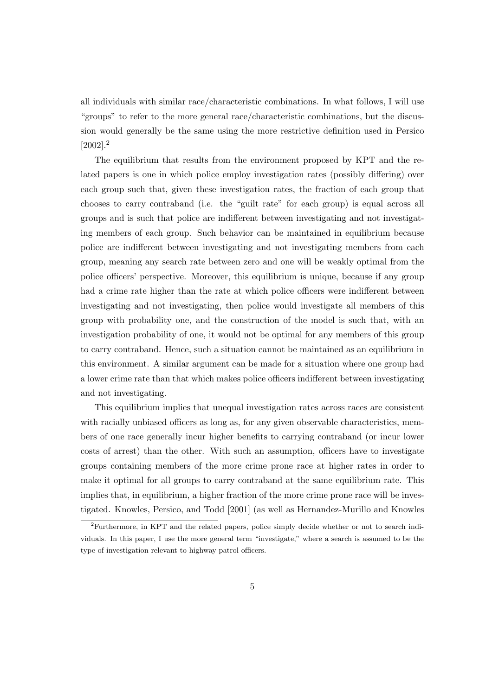all individuals with similar race/characteristic combinations. In what follows, I will use "groups" to refer to the more general race/characteristic combinations, but the discussion would generally be the same using the more restrictive definition used in Persico  $[2002]$ <sup>2</sup>

The equilibrium that results from the environment proposed by KPT and the related papers is one in which police employ investigation rates (possibly differing) over each group such that, given these investigation rates, the fraction of each group that chooses to carry contraband (i.e. the "guilt rate" for each group) is equal across all groups and is such that police are indifferent between investigating and not investigating members of each group. Such behavior can be maintained in equilibrium because police are indifferent between investigating and not investigating members from each group, meaning any search rate between zero and one will be weakly optimal from the police officers' perspective. Moreover, this equilibrium is unique, because if any group had a crime rate higher than the rate at which police officers were indifferent between investigating and not investigating, then police would investigate all members of this group with probability one, and the construction of the model is such that, with an investigation probability of one, it would not be optimal for any members of this group to carry contraband. Hence, such a situation cannot be maintained as an equilibrium in this environment. A similar argument can be made for a situation where one group had a lower crime rate than that which makes police officers indifferent between investigating and not investigating.

This equilibrium implies that unequal investigation rates across races are consistent with racially unbiased officers as long as, for any given observable characteristics, members of one race generally incur higher benefits to carrying contraband (or incur lower costs of arrest) than the other. With such an assumption, officers have to investigate groups containing members of the more crime prone race at higher rates in order to make it optimal for all groups to carry contraband at the same equilibrium rate. This implies that, in equilibrium, a higher fraction of the more crime prone race will be investigated. Knowles, Persico, and Todd [2001] (as well as Hernandez-Murillo and Knowles

<sup>2</sup>Furthermore, in KPT and the related papers, police simply decide whether or not to search individuals. In this paper, I use the more general term "investigate," where a search is assumed to be the type of investigation relevant to highway patrol officers.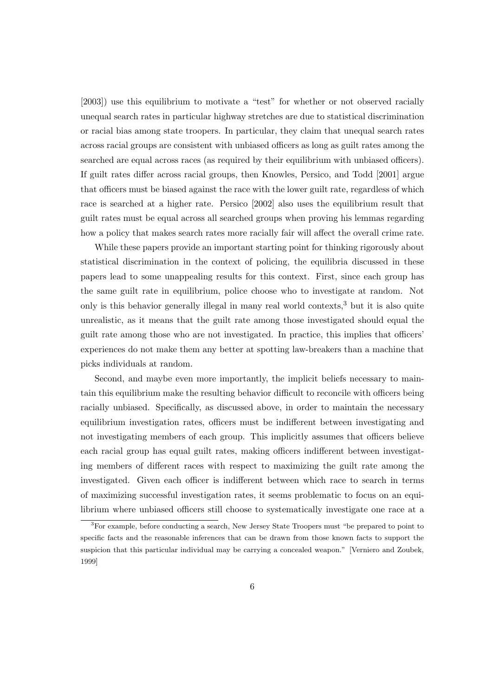[2003]) use this equilibrium to motivate a "test" for whether or not observed racially unequal search rates in particular highway stretches are due to statistical discrimination or racial bias among state troopers. In particular, they claim that unequal search rates across racial groups are consistent with unbiased officers as long as guilt rates among the searched are equal across races (as required by their equilibrium with unbiased officers). If guilt rates differ across racial groups, then Knowles, Persico, and Todd [2001] argue that officers must be biased against the race with the lower guilt rate, regardless of which race is searched at a higher rate. Persico [2002] also uses the equilibrium result that guilt rates must be equal across all searched groups when proving his lemmas regarding how a policy that makes search rates more racially fair will affect the overall crime rate.

While these papers provide an important starting point for thinking rigorously about statistical discrimination in the context of policing, the equilibria discussed in these papers lead to some unappealing results for this context. First, since each group has the same guilt rate in equilibrium, police choose who to investigate at random. Not only is this behavior generally illegal in many real world contexts,<sup>3</sup> but it is also quite unrealistic, as it means that the guilt rate among those investigated should equal the guilt rate among those who are not investigated. In practice, this implies that officers' experiences do not make them any better at spotting law-breakers than a machine that picks individuals at random.

Second, and maybe even more importantly, the implicit beliefs necessary to maintain this equilibrium make the resulting behavior difficult to reconcile with officers being racially unbiased. Specifically, as discussed above, in order to maintain the necessary equilibrium investigation rates, officers must be indifferent between investigating and not investigating members of each group. This implicitly assumes that officers believe each racial group has equal guilt rates, making officers indifferent between investigating members of different races with respect to maximizing the guilt rate among the investigated. Given each officer is indifferent between which race to search in terms of maximizing successful investigation rates, it seems problematic to focus on an equilibrium where unbiased officers still choose to systematically investigate one race at a

<sup>&</sup>lt;sup>3</sup>For example, before conducting a search, New Jersey State Troopers must "be prepared to point to specific facts and the reasonable inferences that can be drawn from those known facts to support the suspicion that this particular individual may be carrying a concealed weapon." [Verniero and Zoubek, 1999]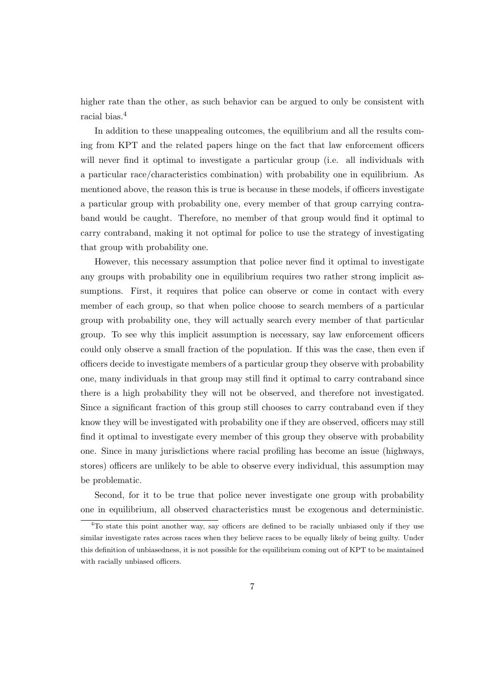higher rate than the other, as such behavior can be argued to only be consistent with racial bias.<sup>4</sup>

In addition to these unappealing outcomes, the equilibrium and all the results coming from KPT and the related papers hinge on the fact that law enforcement officers will never find it optimal to investigate a particular group (i.e. all individuals with a particular race/characteristics combination) with probability one in equilibrium. As mentioned above, the reason this is true is because in these models, if officers investigate a particular group with probability one, every member of that group carrying contraband would be caught. Therefore, no member of that group would find it optimal to carry contraband, making it not optimal for police to use the strategy of investigating that group with probability one.

However, this necessary assumption that police never find it optimal to investigate any groups with probability one in equilibrium requires two rather strong implicit assumptions. First, it requires that police can observe or come in contact with every member of each group, so that when police choose to search members of a particular group with probability one, they will actually search every member of that particular group. To see why this implicit assumption is necessary, say law enforcement officers could only observe a small fraction of the population. If this was the case, then even if officers decide to investigate members of a particular group they observe with probability one, many individuals in that group may still find it optimal to carry contraband since there is a high probability they will not be observed, and therefore not investigated. Since a significant fraction of this group still chooses to carry contraband even if they know they will be investigated with probability one if they are observed, officers may still find it optimal to investigate every member of this group they observe with probability one. Since in many jurisdictions where racial profiling has become an issue (highways, stores) officers are unlikely to be able to observe every individual, this assumption may be problematic.

Second, for it to be true that police never investigate one group with probability one in equilibrium, all observed characteristics must be exogenous and deterministic.

<sup>&</sup>lt;sup>4</sup>To state this point another way, say officers are defined to be racially unbiased only if they use similar investigate rates across races when they believe races to be equally likely of being guilty. Under this definition of unbiasedness, it is not possible for the equilibrium coming out of KPT to be maintained with racially unbiased officers.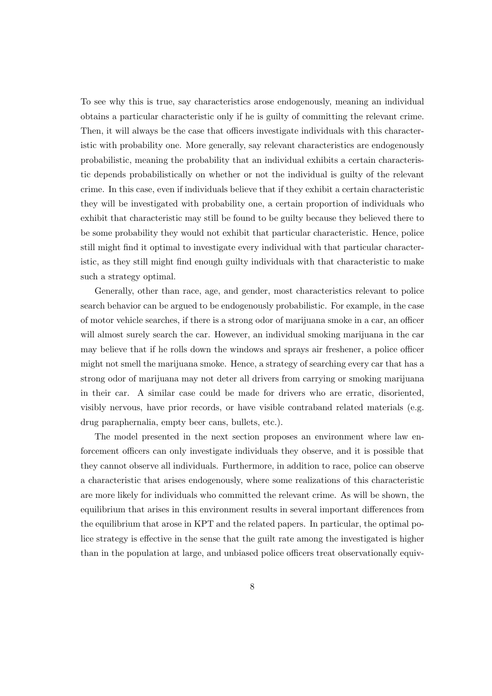To see why this is true, say characteristics arose endogenously, meaning an individual obtains a particular characteristic only if he is guilty of committing the relevant crime. Then, it will always be the case that officers investigate individuals with this characteristic with probability one. More generally, say relevant characteristics are endogenously probabilistic, meaning the probability that an individual exhibits a certain characteristic depends probabilistically on whether or not the individual is guilty of the relevant crime. In this case, even if individuals believe that if they exhibit a certain characteristic they will be investigated with probability one, a certain proportion of individuals who exhibit that characteristic may still be found to be guilty because they believed there to be some probability they would not exhibit that particular characteristic. Hence, police still might find it optimal to investigate every individual with that particular characteristic, as they still might find enough guilty individuals with that characteristic to make such a strategy optimal.

Generally, other than race, age, and gender, most characteristics relevant to police search behavior can be argued to be endogenously probabilistic. For example, in the case of motor vehicle searches, if there is a strong odor of marijuana smoke in a car, an officer will almost surely search the car. However, an individual smoking marijuana in the car may believe that if he rolls down the windows and sprays air freshener, a police officer might not smell the marijuana smoke. Hence, a strategy of searching every car that has a strong odor of marijuana may not deter all drivers from carrying or smoking marijuana in their car. A similar case could be made for drivers who are erratic, disoriented, visibly nervous, have prior records, or have visible contraband related materials (e.g. drug paraphernalia, empty beer cans, bullets, etc.).

The model presented in the next section proposes an environment where law enforcement officers can only investigate individuals they observe, and it is possible that they cannot observe all individuals. Furthermore, in addition to race, police can observe a characteristic that arises endogenously, where some realizations of this characteristic are more likely for individuals who committed the relevant crime. As will be shown, the equilibrium that arises in this environment results in several important differences from the equilibrium that arose in KPT and the related papers. In particular, the optimal police strategy is effective in the sense that the guilt rate among the investigated is higher than in the population at large, and unbiased police officers treat observationally equiv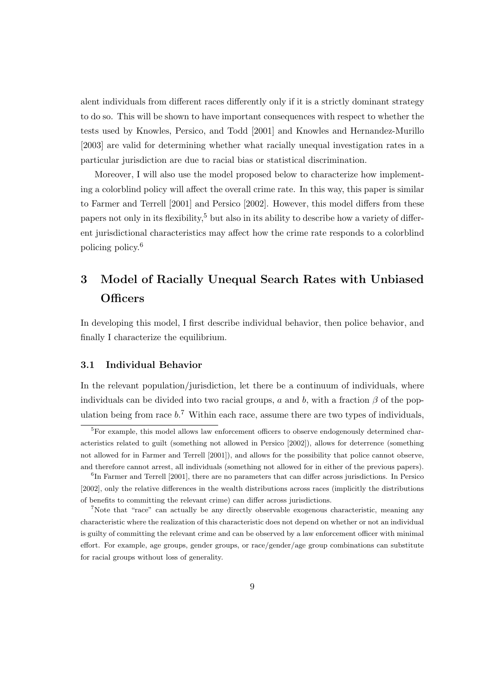alent individuals from different races differently only if it is a strictly dominant strategy to do so. This will be shown to have important consequences with respect to whether the tests used by Knowles, Persico, and Todd [2001] and Knowles and Hernandez-Murillo [2003] are valid for determining whether what racially unequal investigation rates in a particular jurisdiction are due to racial bias or statistical discrimination.

Moreover, I will also use the model proposed below to characterize how implementing a colorblind policy will affect the overall crime rate. In this way, this paper is similar to Farmer and Terrell [2001] and Persico [2002]. However, this model differs from these papers not only in its flexibility,<sup>5</sup> but also in its ability to describe how a variety of different jurisdictional characteristics may affect how the crime rate responds to a colorblind policing policy.<sup>6</sup>

# 3 Model of Racially Unequal Search Rates with Unbiased **Officers**

In developing this model, I first describe individual behavior, then police behavior, and finally I characterize the equilibrium.

#### 3.1 Individual Behavior

In the relevant population/jurisdiction, let there be a continuum of individuals, where individuals can be divided into two racial groups, a and b, with a fraction  $\beta$  of the population being from race  $b$ <sup>7</sup>. Within each race, assume there are two types of individuals,

<sup>&</sup>lt;sup>5</sup>For example, this model allows law enforcement officers to observe endogenously determined characteristics related to guilt (something not allowed in Persico [2002]), allows for deterrence (something not allowed for in Farmer and Terrell [2001]), and allows for the possibility that police cannot observe, and therefore cannot arrest, all individuals (something not allowed for in either of the previous papers).

<sup>&</sup>lt;sup>6</sup>In Farmer and Terrell [2001], there are no parameters that can differ across jurisdictions. In Persico [2002], only the relative differences in the wealth distributions across races (implicitly the distributions of benefits to committing the relevant crime) can differ across jurisdictions.

<sup>7</sup>Note that "race" can actually be any directly observable exogenous characteristic, meaning any characteristic where the realization of this characteristic does not depend on whether or not an individual is guilty of committing the relevant crime and can be observed by a law enforcement officer with minimal effort. For example, age groups, gender groups, or race/gender/age group combinations can substitute for racial groups without loss of generality.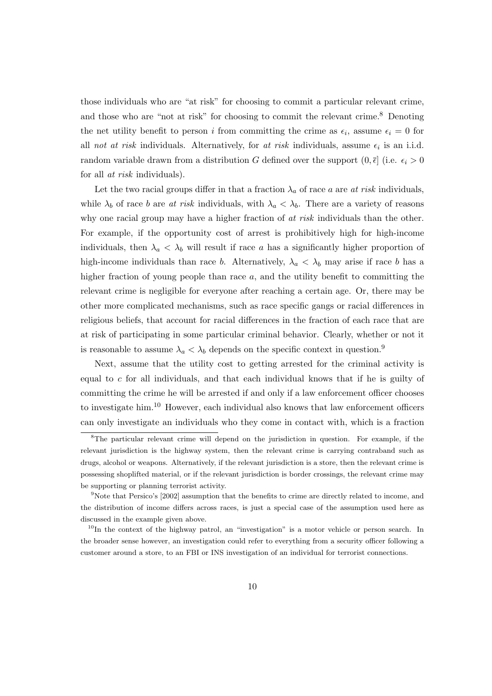those individuals who are "at risk" for choosing to commit a particular relevant crime, and those who are "not at risk" for choosing to commit the relevant crime.<sup>8</sup> Denoting the net utility benefit to person *i* from committing the crime as  $\epsilon_i$ , assume  $\epsilon_i = 0$  for all not at risk individuals. Alternatively, for at risk individuals, assume  $\epsilon_i$  is an i.i.d. random variable drawn from a distribution G defined over the support  $(0, \bar{\epsilon}]$  (i.e.  $\epsilon_i > 0$ for all *at risk* individuals).

Let the two racial groups differ in that a fraction  $\lambda_a$  of race a are at risk individuals, while  $\lambda_b$  of race b are at risk individuals, with  $\lambda_a < \lambda_b$ . There are a variety of reasons why one racial group may have a higher fraction of at risk individuals than the other. For example, if the opportunity cost of arrest is prohibitively high for high-income individuals, then  $\lambda_a < \lambda_b$  will result if race a has a significantly higher proportion of high-income individuals than race b. Alternatively,  $\lambda_a < \lambda_b$  may arise if race b has a higher fraction of young people than race a, and the utility benefit to committing the relevant crime is negligible for everyone after reaching a certain age. Or, there may be other more complicated mechanisms, such as race specific gangs or racial differences in religious beliefs, that account for racial differences in the fraction of each race that are at risk of participating in some particular criminal behavior. Clearly, whether or not it is reasonable to assume  $\lambda_a < \lambda_b$  depends on the specific context in question.<sup>9</sup>

Next, assume that the utility cost to getting arrested for the criminal activity is equal to c for all individuals, and that each individual knows that if he is guilty of committing the crime he will be arrested if and only if a law enforcement officer chooses to investigate him.<sup>10</sup> However, each individual also knows that law enforcement officers can only investigate an individuals who they come in contact with, which is a fraction

<sup>8</sup>The particular relevant crime will depend on the jurisdiction in question. For example, if the relevant jurisdiction is the highway system, then the relevant crime is carrying contraband such as drugs, alcohol or weapons. Alternatively, if the relevant jurisdiction is a store, then the relevant crime is possessing shoplifted material, or if the relevant jurisdiction is border crossings, the relevant crime may be supporting or planning terrorist activity.

<sup>&</sup>lt;sup>9</sup>Note that Persico's [2002] assumption that the benefits to crime are directly related to income, and the distribution of income differs across races, is just a special case of the assumption used here as discussed in the example given above.

 $10$ In the context of the highway patrol, an "investigation" is a motor vehicle or person search. In the broader sense however, an investigation could refer to everything from a security officer following a customer around a store, to an FBI or INS investigation of an individual for terrorist connections.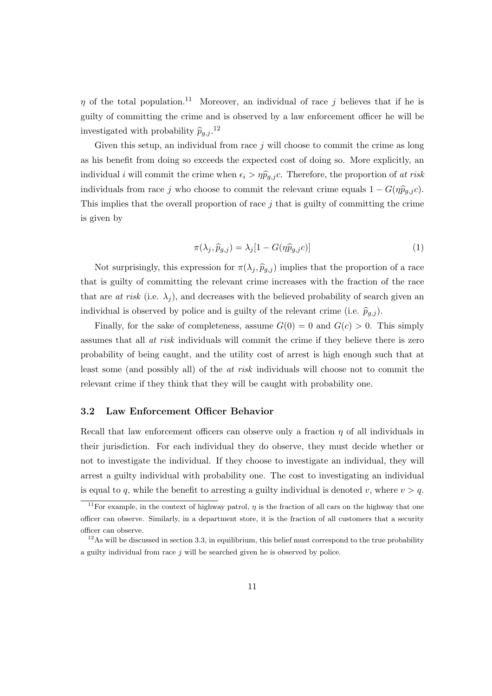$\eta$  of the total population.<sup>11</sup> Moreover, an individual of race j believes that if he is guilty of committing the crime and is observed by a law enforcement officer he will be investigated with probability  $\widehat{p}_{g,j}$ .<sup>12</sup>

Given this setup, an individual from race  $j$  will choose to commit the crime as long as his benefit from doing so exceeds the expected cost of doing so. More explicitly, an individual *i* will commit the crime when  $\epsilon_i > \eta \hat{p}_{g,j}$ . Therefore, the proportion of at risk individuals from race j who choose to commit the relevant crime equals  $1 - G(\eta \hat{p}_{q,i}c)$ . This implies that the overall proportion of race  $j$  that is guilty of committing the crime is given by

$$
\pi(\lambda_j, \widehat{p}_{g,j}) = \lambda_j [1 - G(\eta \widehat{p}_{g,j} c)] \tag{1}
$$

Not surprisingly, this expression for  $\pi(\lambda_j, \hat{p}_{g,j})$  implies that the proportion of a race that is guilty of committing the relevant crime increases with the fraction of the race that are at risk (i.e.  $\lambda_i$ ), and decreases with the believed probability of search given an individual is observed by police and is guilty of the relevant crime (i.e.  $\hat{p}_{q,j}$ ).

Finally, for the sake of completeness, assume  $G(0) = 0$  and  $G(c) > 0$ . This simply assumes that all at risk individuals will commit the crime if they believe there is zero probability of being caught, and the utility cost of arrest is high enough such that at least some (and possibly all) of the at risk individuals will choose not to commit the relevant crime if they think that they will be caught with probability one.

#### 3.2 Law Enforcement Officer Behavior

Recall that law enforcement officers can observe only a fraction  $\eta$  of all individuals in their jurisdiction. For each individual they do observe, they must decide whether or not to investigate the individual. If they choose to investigate an individual, they will arrest a guilty individual with probability one. The cost to investigating an individual is equal to q, while the benefit to arresting a guilty individual is denoted v, where  $v > q$ .

<sup>&</sup>lt;sup>11</sup>For example, in the context of highway patrol,  $\eta$  is the fraction of all cars on the highway that one officer can observe. Similarly, in a department store, it is the fraction of all customers that a security officer can observe.

 $12\text{As}$  will be discussed in section 3.3, in equilibrium, this belief must correspond to the true probability a guilty individual from race  $j$  will be searched given he is observed by police.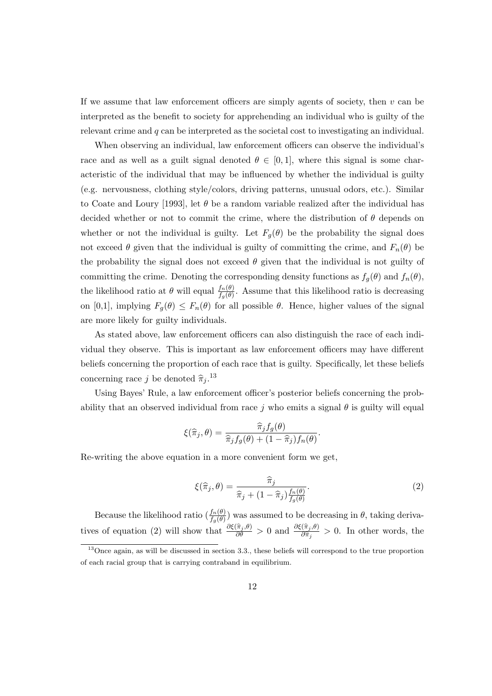If we assume that law enforcement officers are simply agents of society, then  $v$  can be interpreted as the benefit to society for apprehending an individual who is guilty of the relevant crime and  $q$  can be interpreted as the societal cost to investigating an individual.

When observing an individual, law enforcement officers can observe the individual's race and as well as a guilt signal denoted  $\theta \in [0,1]$ , where this signal is some characteristic of the individual that may be influenced by whether the individual is guilty (e.g. nervousness, clothing style/colors, driving patterns, unusual odors, etc.). Similar to Coate and Loury [1993], let  $\theta$  be a random variable realized after the individual has decided whether or not to commit the crime, where the distribution of  $\theta$  depends on whether or not the individual is guilty. Let  $F_q(\theta)$  be the probability the signal does not exceed  $\theta$  given that the individual is guilty of committing the crime, and  $F_n(\theta)$  be the probability the signal does not exceed  $\theta$  given that the individual is not guilty of committing the crime. Denoting the corresponding density functions as  $f_q(\theta)$  and  $f_n(\theta)$ , the likelihood ratio at  $\theta$  will equal  $\frac{f_n(\theta)}{f_g(\theta)}$ . Assume that this likelihood ratio is decreasing on [0,1], implying  $F_g(\theta) \leq F_n(\theta)$  for all possible  $\theta$ . Hence, higher values of the signal are more likely for guilty individuals.

As stated above, law enforcement officers can also distinguish the race of each individual they observe. This is important as law enforcement officers may have different beliefs concerning the proportion of each race that is guilty. Specifically, let these beliefs concerning race j be denoted  $\hat{\pi}_j$ .<sup>13</sup>

Using Bayes' Rule, a law enforcement officer's posterior beliefs concerning the probability that an observed individual from race j who emits a signal  $\theta$  is guilty will equal

$$
\xi(\widehat{\pi}_j,\theta) = \frac{\widehat{\pi}_j f_g(\theta)}{\widehat{\pi}_j f_g(\theta) + (1 - \widehat{\pi}_j) f_n(\theta)}.
$$

Re-writing the above equation in a more convenient form we get,

$$
\xi(\widehat{\pi}_j, \theta) = \frac{\widehat{\pi}_j}{\widehat{\pi}_j + (1 - \widehat{\pi}_j) \frac{f_n(\theta)}{f_g(\theta)}}.
$$
\n(2)

Because the likelihood ratio  $(\frac{f_n(\theta)}{f_g(\theta)})$  was assumed to be decreasing in  $\theta$ , taking derivatives of equation (2) will show that  $\frac{\partial \xi(\hat{\pi}_j, \theta)}{\partial \theta} > 0$  and  $\frac{\partial \xi(\hat{\pi}_j, \theta)}{\partial \hat{\pi}_j} > 0$ . In other words, the

<sup>13</sup>Once again, as will be discussed in section 3.3., these beliefs will correspond to the true proportion of each racial group that is carrying contraband in equilibrium.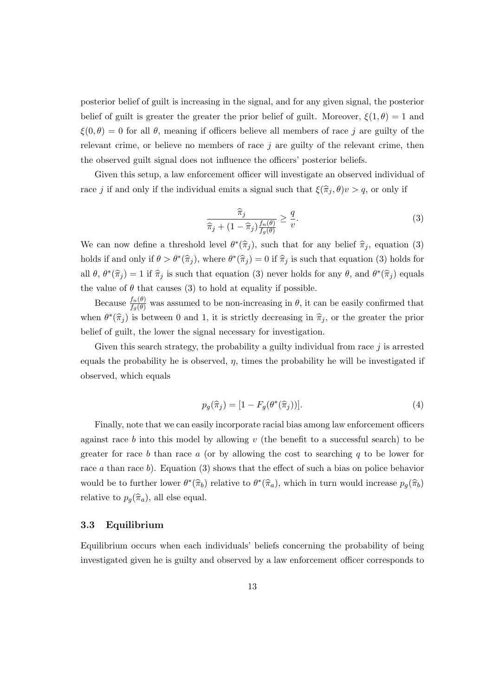posterior belief of guilt is increasing in the signal, and for any given signal, the posterior belief of guilt is greater the greater the prior belief of guilt. Moreover,  $\xi(1,\theta) = 1$  and  $\xi(0,\theta) = 0$  for all  $\theta$ , meaning if officers believe all members of race j are guilty of the relevant crime, or believe no members of race  $j$  are guilty of the relevant crime, then the observed guilt signal does not influence the officers' posterior beliefs.

Given this setup, a law enforcement officer will investigate an observed individual of race j if and only if the individual emits a signal such that  $\xi(\hat{\pi}_j, \theta)v > q$ , or only if

$$
\frac{\widehat{\pi}_j}{\widehat{\pi}_j + (1 - \widehat{\pi}_j) \frac{f_n(\theta)}{f_g(\theta)}} \ge \frac{q}{v}.\tag{3}
$$

We can now define a threshold level  $\theta^*(\hat{\pi}_j)$ , such that for any belief  $\hat{\pi}_j$ , equation (3) holds if and only if  $\theta > \theta^*(\hat{\pi}_j)$ , where  $\theta^*(\hat{\pi}_j) = 0$  if  $\hat{\pi}_j$  is such that equation (3) holds for all  $\theta$ ,  $\theta^*(\hat{\pi}_j) = 1$  if  $\hat{\pi}_j$  is such that equation (3) never holds for any  $\theta$ , and  $\theta^*(\hat{\pi}_j)$  equals the value of  $\theta$  that causes (3) to hold at equality if possible.

Because  $\frac{f_n(\theta)}{f_g(\theta)}$  was assumed to be non-increasing in  $\theta$ , it can be easily confirmed that when  $\theta^*(\hat{\pi}_j)$  is between 0 and 1, it is strictly decreasing in  $\hat{\pi}_j$ , or the greater the prior belief of guilt, the lower the signal necessary for investigation.

Given this search strategy, the probability a guilty individual from race  $j$  is arrested equals the probability he is observed,  $\eta$ , times the probability he will be investigated if observed, which equals

$$
p_g(\hat{\pi}_j) = [1 - F_g(\theta^*(\hat{\pi}_j))]. \tag{4}
$$

Finally, note that we can easily incorporate racial bias among law enforcement officers against race b into this model by allowing  $v$  (the benefit to a successful search) to be greater for race b than race a (or by allowing the cost to searching  $q$  to be lower for race a than race b). Equation (3) shows that the effect of such a bias on police behavior would be to further lower  $\theta^*(\hat{\pi}_b)$  relative to  $\theta^*(\hat{\pi}_a)$ , which in turn would increase  $p_g(\hat{\pi}_b)$ relative to  $p_g(\widehat{\pi}_a)$ , all else equal.

#### 3.3 Equilibrium

Equilibrium occurs when each individuals' beliefs concerning the probability of being investigated given he is guilty and observed by a law enforcement officer corresponds to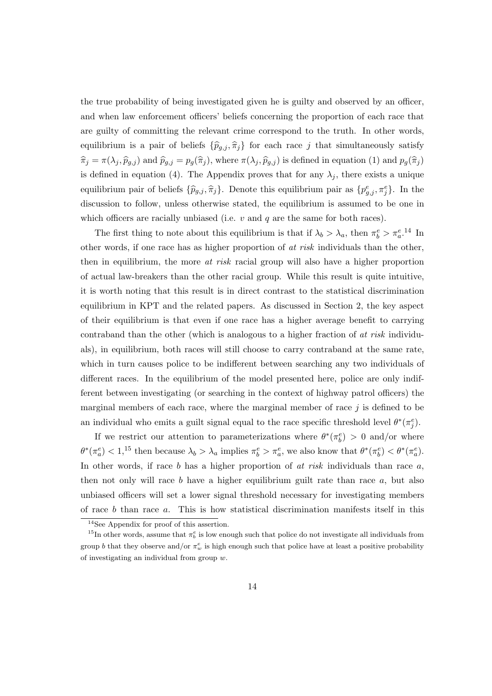the true probability of being investigated given he is guilty and observed by an officer, and when law enforcement officers' beliefs concerning the proportion of each race that are guilty of committing the relevant crime correspond to the truth. In other words, equilibrium is a pair of beliefs  $\{\widehat{p}_{g,j}, \widehat{\pi}_j\}$  for each race j that simultaneously satisfy  $\hat{\pi}_j = \pi(\lambda_j, \hat{p}_{g,j})$  and  $\hat{p}_{g,j} = p_g(\hat{\pi}_j)$ , where  $\pi(\lambda_j, \hat{p}_{g,j})$  is defined in equation (1) and  $p_g(\hat{\pi}_j)$ is defined in equation (4). The Appendix proves that for any  $\lambda_j$ , there exists a unique equilibrium pair of beliefs  $\{\hat{p}_{g,j}, \hat{\pi}_j\}$ . Denote this equilibrium pair as  $\{p_{g,j}^e, \pi_j^e\}$ . In the discussion to follow, unless otherwise stated, the equilibrium is assumed to be one in which officers are racially unbiased (i.e.  $v$  and  $q$  are the same for both races).

The first thing to note about this equilibrium is that if  $\lambda_b > \lambda_a$ , then  $\pi_b^e > \pi_a^{e.14}$  In other words, if one race has as higher proportion of at risk individuals than the other, then in equilibrium, the more *at risk* racial group will also have a higher proportion of actual law-breakers than the other racial group. While this result is quite intuitive, it is worth noting that this result is in direct contrast to the statistical discrimination equilibrium in KPT and the related papers. As discussed in Section 2, the key aspect of their equilibrium is that even if one race has a higher average benefit to carrying contraband than the other (which is analogous to a higher fraction of at risk individuals), in equilibrium, both races will still choose to carry contraband at the same rate, which in turn causes police to be indifferent between searching any two individuals of different races. In the equilibrium of the model presented here, police are only indifferent between investigating (or searching in the context of highway patrol officers) the marginal members of each race, where the marginal member of race  $j$  is defined to be an individual who emits a guilt signal equal to the race specific threshold level  $\theta^*(\pi_j^e)$ .

If we restrict our attention to parameterizations where  $\theta^*(\pi_b^e) > 0$  and/or where  $\theta^*(\pi_a^e) < 1$ <sup>15</sup> then because  $\lambda_b > \lambda_a$  implies  $\pi_b^e > \pi_a^e$ , we also know that  $\theta^*(\pi_b^e) < \theta^*(\pi_a^e)$ . In other words, if race  $b$  has a higher proportion of  $at$  risk individuals than race  $a$ , then not only will race  $b$  have a higher equilibrium guilt rate than race  $a$ , but also unbiased officers will set a lower signal threshold necessary for investigating members of race  $b$  than race  $a$ . This is how statistical discrimination manifests itself in this

<sup>&</sup>lt;sup>14</sup>See Appendix for proof of this assertion.

<sup>&</sup>lt;sup>15</sup>In other words, assume that  $\pi_b^e$  is low enough such that police do not investigate all individuals from group b that they observe and/or  $\pi_w^e$  is high enough such that police have at least a positive probability of investigating an individual from group  $w$ .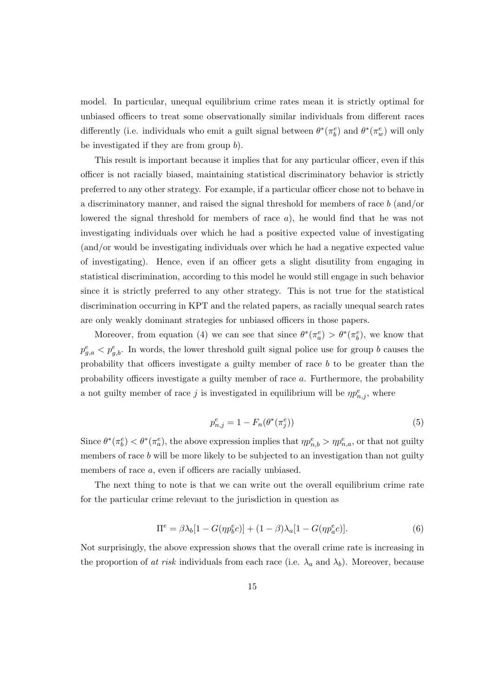model. In particular, unequal equilibrium crime rates mean it is strictly optimal for unbiased officers to treat some observationally similar individuals from different races differently (i.e. individuals who emit a guilt signal between  $\theta^*(\pi_b^e)$  and  $\theta^*(\pi_w^e)$  will only be investigated if they are from group b).

This result is important because it implies that for any particular officer, even if this officer is not racially biased, maintaining statistical discriminatory behavior is strictly preferred to any other strategy. For example, if a particular officer chose not to behave in a discriminatory manner, and raised the signal threshold for members of race b (and/or lowered the signal threshold for members of race  $a$ ), he would find that he was not investigating individuals over which he had a positive expected value of investigating (and/or would be investigating individuals over which he had a negative expected value of investigating). Hence, even if an officer gets a slight disutility from engaging in statistical discrimination, according to this model he would still engage in such behavior since it is strictly preferred to any other strategy. This is not true for the statistical discrimination occurring in KPT and the related papers, as racially unequal search rates are only weakly dominant strategies for unbiased officers in those papers.

Moreover, from equation (4) we can see that since  $\theta^*(\pi_a^e) > \theta^*(\pi_b^e)$ , we know that  $p_{g,a}^e < p_{g,b}^e$ . In words, the lower threshold guilt signal police use for group b causes the probability that officers investigate a guilty member of race b to be greater than the probability officers investigate a guilty member of race a. Furthermore, the probability a not guilty member of race j is investigated in equilibrium will be  $\eta p_{n,j}^e$ , where

$$
p_{n,j}^e = 1 - F_n(\theta^*(\pi_j^e))
$$
\n(5)

Since  $\theta^*(\pi_b^e) < \theta^*(\pi_a^e)$ , the above expression implies that  $\eta p_{n,b}^e > \eta p_{n,a}^e$ , or that not guilty members of race b will be more likely to be subjected to an investigation than not guilty members of race a, even if officers are racially unbiased.

The next thing to note is that we can write out the overall equilibrium crime rate for the particular crime relevant to the jurisdiction in question as

$$
\Pi^{e} = \beta \lambda_b [1 - G(\eta p_b^e c)] + (1 - \beta) \lambda_a [1 - G(\eta p_a^e c)]. \tag{6}
$$

Not surprisingly, the above expression shows that the overall crime rate is increasing in the proportion of at risk individuals from each race (i.e.  $\lambda_a$  and  $\lambda_b$ ). Moreover, because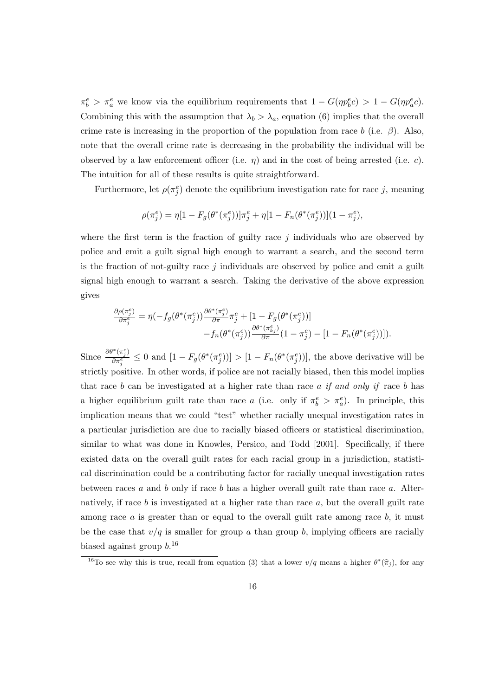$\pi_b^e > \pi_a^e$  we know via the equilibrium requirements that  $1 - G(\eta p_b^e c) > 1 - G(\eta p_a^e c)$ . Combining this with the assumption that  $\lambda_b > \lambda_a$ , equation (6) implies that the overall crime rate is increasing in the proportion of the population from race b (i.e.  $\beta$ ). Also, note that the overall crime rate is decreasing in the probability the individual will be observed by a law enforcement officer (i.e.  $\eta$ ) and in the cost of being arrested (i.e. c). The intuition for all of these results is quite straightforward.

Furthermore, let  $\rho(\pi_j^e)$  denote the equilibrium investigation rate for race j, meaning

$$
\rho(\pi_j^e) = \eta[1 - F_g(\theta^*(\pi_j^e))] \pi_j^e + \eta[1 - F_n(\theta^*(\pi_j^e))](1 - \pi_j^e),
$$

where the first term is the fraction of guilty race  $j$  individuals who are observed by police and emit a guilt signal high enough to warrant a search, and the second term is the fraction of not-guilty race  $j$  individuals are observed by police and emit a guilt signal high enough to warrant a search. Taking the derivative of the above expression gives

$$
\frac{\partial \rho(\pi_j^e)}{\partial \pi_j^e} = \eta(-f_g(\theta^*(\pi_j^e)) \frac{\partial \theta^*(\pi_j^e)}{\partial \pi} \pi_j^e + [1 - F_g(\theta^*(\pi_j^e))]
$$

$$
-f_n(\theta^*(\pi_j^e)) \frac{\partial \theta^*(\pi_{kj}^e)}{\partial \pi} (1 - \pi_j^e) - [1 - F_n(\theta^*(\pi_j^e))]).
$$

Since  $\frac{\partial \theta^*(\pi_j^e)}{\partial \pi^e}$  $\frac{f''(\pi_j^x)}{\partial \pi_i^e} \leq 0$  and  $[1 - F_g(\theta^*(\pi_j^e))] > [1 - F_n(\theta^*(\pi_j^e))]$ , the above derivative will be strictly positive. In other words, if police are not racially biased, then this model implies that race b can be investigated at a higher rate than race a if and only if race b has a higher equilibrium guilt rate than race a (i.e. only if  $\pi_b^e > \pi_a^e$ ). In principle, this implication means that we could "test" whether racially unequal investigation rates in a particular jurisdiction are due to racially biased officers or statistical discrimination, similar to what was done in Knowles, Persico, and Todd [2001]. Specifically, if there existed data on the overall guilt rates for each racial group in a jurisdiction, statistical discrimination could be a contributing factor for racially unequal investigation rates between races a and b only if race b has a higher overall guilt rate than race a. Alternatively, if race b is investigated at a higher rate than race  $a$ , but the overall guilt rate among race  $a$  is greater than or equal to the overall guilt rate among race  $b$ , it must be the case that  $v/q$  is smaller for group a than group b, implying officers are racially biased against group  $b^{16}$ 

<sup>&</sup>lt;sup>16</sup>To see why this is true, recall from equation (3) that a lower  $v/q$  means a higher  $\theta^*(\hat{\pi}_j)$ , for any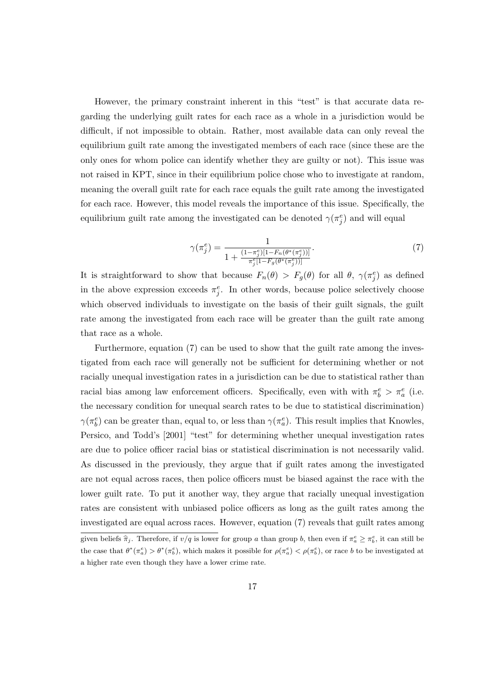However, the primary constraint inherent in this "test" is that accurate data regarding the underlying guilt rates for each race as a whole in a jurisdiction would be difficult, if not impossible to obtain. Rather, most available data can only reveal the equilibrium guilt rate among the investigated members of each race (since these are the only ones for whom police can identify whether they are guilty or not). This issue was not raised in KPT, since in their equilibrium police chose who to investigate at random, meaning the overall guilt rate for each race equals the guilt rate among the investigated for each race. However, this model reveals the importance of this issue. Specifically, the equilibrium guilt rate among the investigated can be denoted  $\gamma(\pi_j^e)$  and will equal

$$
\gamma(\pi_j^e) = \frac{1}{1 + \frac{(1 - \pi_j^e)[1 - F_n(\theta^*(\pi_j^e))]}{\pi_j^e[1 - F_g(\theta^*(\pi_j^e))]}}.\tag{7}
$$

It is straightforward to show that because  $F_n(\theta) > F_g(\theta)$  for all  $\theta$ ,  $\gamma(\pi_i^e)$  as defined in the above expression exceeds  $\pi_j^e$ . In other words, because police selectively choose which observed individuals to investigate on the basis of their guilt signals, the guilt rate among the investigated from each race will be greater than the guilt rate among that race as a whole.

Furthermore, equation (7) can be used to show that the guilt rate among the investigated from each race will generally not be sufficient for determining whether or not racially unequal investigation rates in a jurisdiction can be due to statistical rather than racial bias among law enforcement officers. Specifically, even with with  $\pi_b^e > \pi_a^e$  (i.e. the necessary condition for unequal search rates to be due to statistical discrimination)  $\gamma(\pi_b^e)$  can be greater than, equal to, or less than  $\gamma(\pi_a^e)$ . This result implies that Knowles, Persico, and Todd's [2001] "test" for determining whether unequal investigation rates are due to police officer racial bias or statistical discrimination is not necessarily valid. As discussed in the previously, they argue that if guilt rates among the investigated are not equal across races, then police officers must be biased against the race with the lower guilt rate. To put it another way, they argue that racially unequal investigation rates are consistent with unbiased police officers as long as the guilt rates among the investigated are equal across races. However, equation (7) reveals that guilt rates among

given beliefs  $\hat{\pi}_j$ . Therefore, if  $v/q$  is lower for group a than group b, then even if  $\pi_a^e \geq \pi_b^e$ , it can still be the case that  $\theta^*(\pi_a^e) > \theta^*(\pi_b^e)$ , which makes it possible for  $\rho(\pi_a^e) < \rho(\pi_b^e)$ , or race b to be investigated at a higher rate even though they have a lower crime rate.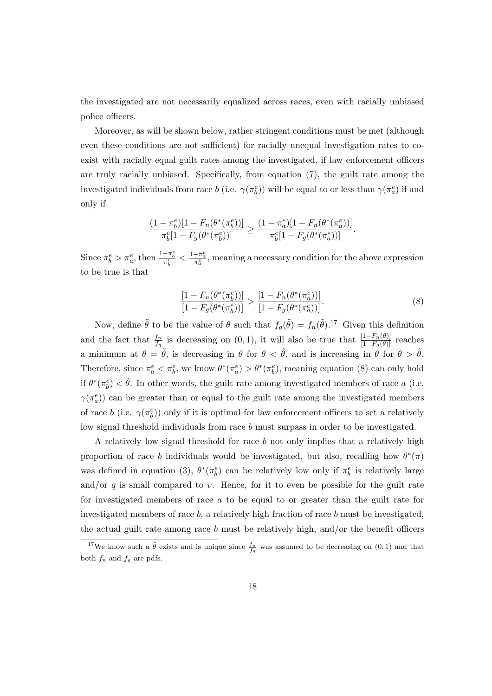the investigated are not necessarily equalized across races, even with racially unbiased police officers.

Moreover, as will be shown below, rather stringent conditions must be met (although even these conditions are not sufficient) for racially unequal investigation rates to coexist with racially equal guilt rates among the investigated, if law enforcement officers are truly racially unbiased. Specifically, from equation (7), the guilt rate among the investigated individuals from race  $b$  (i.e.  $\gamma(\pi_b^e)$ ) will be equal to or less than  $\gamma(\pi_a^e)$  if and only if

$$
\frac{(1-\pi_b^e)[1-F_n(\theta^*(\pi_b^e))]}{\pi_b^e[1-F_g(\theta^*(\pi_b^e))]} \geq \frac{(1-\pi_a^e)[1-F_n(\theta^*(\pi_a^e))]}{\pi_b^e[1-F_g(\theta^*(\pi_a^e))]}.
$$

Since  $\pi_b^e > \pi_a^e$ , then  $\frac{1-\pi_b^e}{\pi_b^e} < \frac{1-\pi_a^e}{\pi_a^e}$ , meaning a necessary condition for the above expression to be true is that

$$
\frac{[1 - F_n(\theta^*(\pi_b^e))]}{[1 - F_g(\theta^*(\pi_b^e))]}\n> \frac{[1 - F_n(\theta^*(\pi_a^e))]}{[1 - F_g(\theta^*(\pi_a^e))]}.
$$
\n(8)

Now, define  $\tilde{\theta}$  to be the value of  $\theta$  such that  $f_g(\tilde{\theta}) = f_n(\tilde{\theta})$ .<sup>17</sup> Given this definition and the fact that  $\frac{f_n}{f_q}$  is decreasing on  $(0, 1)$ , it will also be true that  $\frac{[1-F_n(\theta)]}{[1-F_g(\theta)]}$  reaches a minimum at  $\theta = \tilde{\theta}$ , is decreasing in  $\theta$  for  $\theta < \tilde{\theta}$ , and is increasing in  $\theta$  for  $\theta > \tilde{\theta}$ . Therefore, since  $\pi_a^e < \pi_b^e$ , we know  $\theta^*(\pi_a^e) > \theta^*(\pi_b^e)$ , meaning equation (8) can only hold if  $\theta^*(\pi_b^e) < \tilde{\theta}$ . In other words, the guilt rate among investigated members of race a (i.e.  $\gamma(\pi_a^e)$ ) can be greater than or equal to the guilt rate among the investigated members of race b (i.e.  $\gamma(\pi_b^e)$ ) only if it is optimal for law enforcement officers to set a relatively low signal threshold individuals from race b must surpass in order to be investigated.

A relatively low signal threshold for race  $b$  not only implies that a relatively high proportion of race b individuals would be investigated, but also, recalling how  $\theta^*(\pi)$ was defined in equation (3),  $\theta^*(\pi_b^e)$  can be relatively low only if  $\pi_b^e$  is relatively large and/or  $q$  is small compared to v. Hence, for it to even be possible for the guilt rate for investigated members of race a to be equal to or greater than the guilt rate for investigated members of race  $b$ , a relatively high fraction of race  $b$  must be investigated, the actual guilt rate among race  $b$  must be relatively high, and/or the benefit officers

<sup>&</sup>lt;sup>17</sup>We know such a  $\tilde{\theta}$  exists and is unique since  $\frac{f_n}{f_q}$  was assumed to be decreasing on  $(0, 1)$  and that both  $f_n$  and  $f_g$  are pdfs.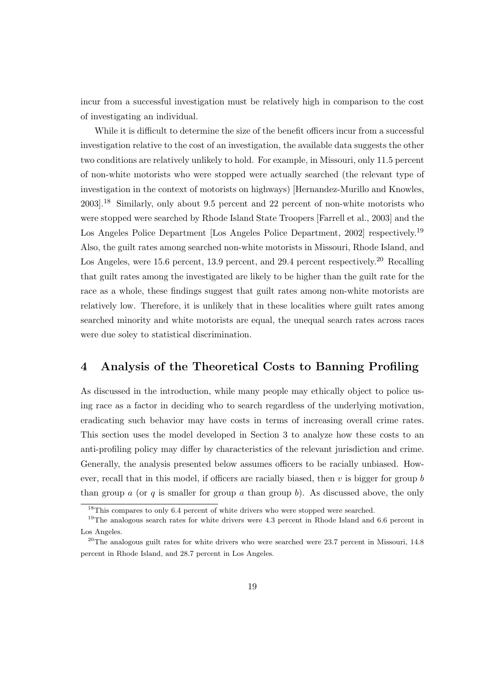incur from a successful investigation must be relatively high in comparison to the cost of investigating an individual.

While it is difficult to determine the size of the benefit officers incur from a successful investigation relative to the cost of an investigation, the available data suggests the other two conditions are relatively unlikely to hold. For example, in Missouri, only 11.5 percent of non-white motorists who were stopped were actually searched (the relevant type of investigation in the context of motorists on highways) [Hernandez-Murillo and Knowles, 2003].<sup>18</sup> Similarly, only about 9.5 percent and 22 percent of non-white motorists who were stopped were searched by Rhode Island State Troopers [Farrell et al., 2003] and the Los Angeles Police Department [Los Angeles Police Department, 2002] respectively.<sup>19</sup> Also, the guilt rates among searched non-white motorists in Missouri, Rhode Island, and Los Angeles, were 15.6 percent, 13.9 percent, and 29.4 percent respectively.<sup>20</sup> Recalling that guilt rates among the investigated are likely to be higher than the guilt rate for the race as a whole, these findings suggest that guilt rates among non-white motorists are relatively low. Therefore, it is unlikely that in these localities where guilt rates among searched minority and white motorists are equal, the unequal search rates across races were due soley to statistical discrimination.

## 4 Analysis of the Theoretical Costs to Banning Profiling

As discussed in the introduction, while many people may ethically object to police using race as a factor in deciding who to search regardless of the underlying motivation, eradicating such behavior may have costs in terms of increasing overall crime rates. This section uses the model developed in Section 3 to analyze how these costs to an anti-profiling policy may differ by characteristics of the relevant jurisdiction and crime. Generally, the analysis presented below assumes officers to be racially unbiased. However, recall that in this model, if officers are racially biased, then  $v$  is bigger for group  $b$ than group a (or q is smaller for group a than group b). As discussed above, the only

<sup>&</sup>lt;sup>18</sup>This compares to only 6.4 percent of white drivers who were stopped were searched.

<sup>&</sup>lt;sup>19</sup>The analogous search rates for white drivers were 4.3 percent in Rhode Island and 6.6 percent in Los Angeles.

 $^{20}$ The analogous guilt rates for white drivers who were searched were 23.7 percent in Missouri, 14.8 percent in Rhode Island, and 28.7 percent in Los Angeles.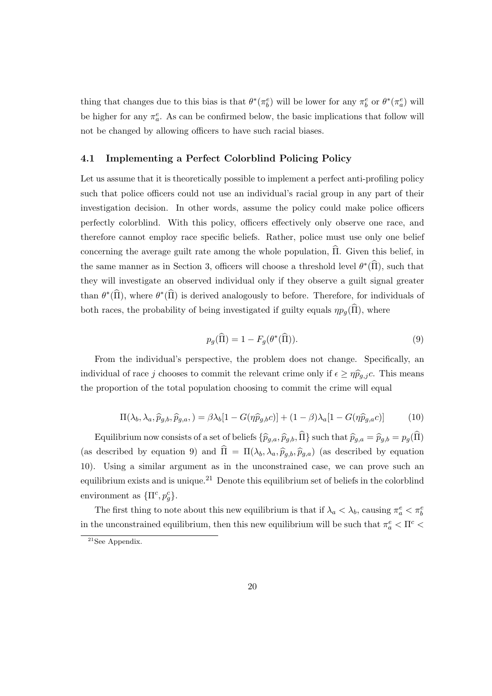thing that changes due to this bias is that  $\theta^*(\pi_b^e)$  will be lower for any  $\pi_b^e$  or  $\theta^*(\pi_a^e)$  will be higher for any  $\pi_a^e$ . As can be confirmed below, the basic implications that follow will not be changed by allowing officers to have such racial biases.

#### 4.1 Implementing a Perfect Colorblind Policing Policy

Let us assume that it is theoretically possible to implement a perfect anti-profiling policy such that police officers could not use an individual's racial group in any part of their investigation decision. In other words, assume the policy could make police officers perfectly colorblind. With this policy, officers effectively only observe one race, and therefore cannot employ race specific beliefs. Rather, police must use only one belief concerning the average guilt rate among the whole population,  $\hat{\Pi}$ . Given this belief, in the same manner as in Section 3, officers will choose a threshold level  $\theta^*(\widehat{\Pi})$ , such that they will investigate an observed individual only if they observe a guilt signal greater than  $\theta^*(\widehat{\Pi})$ , where  $\theta^*(\widehat{\Pi})$  is derived analogously to before. Therefore, for individuals of both races, the probability of being investigated if guilty equals  $\eta p_g(\hat{\Pi})$ , where

$$
p_g(\widehat{\Pi}) = 1 - F_g(\theta^*(\widehat{\Pi})).\tag{9}
$$

From the individual's perspective, the problem does not change. Specifically, an individual of race j chooses to commit the relevant crime only if  $\epsilon \ge \eta \hat{p}_{g,j}c$ . This means the proportion of the total population choosing to commit the crime will equal

$$
\Pi(\lambda_b, \lambda_a, \widehat{p}_{g,b}, \widehat{p}_{g,a}, ) = \beta \lambda_b [1 - G(\eta \widehat{p}_{g,b}c)] + (1 - \beta) \lambda_a [1 - G(\eta \widehat{p}_{g,a}c)] \tag{10}
$$

Equilibrium now consists of a set of beliefs  $\{\widehat{p}_{g,a}, \widehat{p}_{g,b}, \widehat{\Pi}\}\$  such that  $\widehat{p}_{g,a} = \widehat{p}_{g,b} = p_g(\widehat{\Pi})$ (as described by equation 9) and  $\hat{\Pi} = \Pi(\lambda_b, \lambda_a, \hat{p}_{g,b}, \hat{p}_{g,a})$  (as described by equation 10). Using a similar argument as in the unconstrained case, we can prove such an equilibrium exists and is unique.<sup>21</sup> Denote this equilibrium set of beliefs in the colorblind environment as  $\{\Pi^c, p_g^c\}.$ 

The first thing to note about this new equilibrium is that if  $\lambda_a < \lambda_b$ , causing  $\pi_a^e < \pi_b^e$ in the unconstrained equilibrium, then this new equilibrium will be such that  $\pi_a^e < \Pi^c <$ 

 $21$ See Appendix.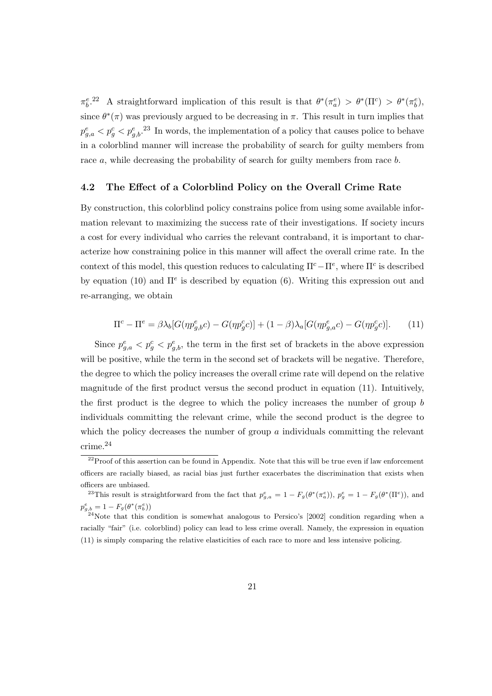$\pi_b^e$ <sup>22</sup> A straightforward implication of this result is that  $\theta^*(\pi_a^e) > \theta^*(\Pi^c) > \theta^*(\pi_b^e)$ , since  $\theta^*(\pi)$  was previously argued to be decreasing in  $\pi$ . This result in turn implies that  $p_{g,a}^e < p_g^e < p_{g,b}^e$ <sup>23</sup>. In words, the implementation of a policy that causes police to behave in a colorblind manner will increase the probability of search for guilty members from race a, while decreasing the probability of search for guilty members from race b.

#### 4.2 The Effect of a Colorblind Policy on the Overall Crime Rate

By construction, this colorblind policy constrains police from using some available information relevant to maximizing the success rate of their investigations. If society incurs a cost for every individual who carries the relevant contraband, it is important to characterize how constraining police in this manner will affect the overall crime rate. In the context of this model, this question reduces to calculating  $\Pi^c - \Pi^e$ , where  $\Pi^c$  is described by equation (10) and  $\Pi^e$  is described by equation (6). Writing this expression out and re-arranging, we obtain

$$
\Pi^c - \Pi^e = \beta \lambda_b [G(\eta p_{g,b}^e c) - G(\eta p_g^c c)] + (1 - \beta) \lambda_a [G(\eta p_{g,a}^e c) - G(\eta p_g^c c)]. \tag{11}
$$

Since  $p_{g,a}^e < p_{g,b}^e$ , the term in the first set of brackets in the above expression will be positive, while the term in the second set of brackets will be negative. Therefore, the degree to which the policy increases the overall crime rate will depend on the relative magnitude of the first product versus the second product in equation (11). Intuitively, the first product is the degree to which the policy increases the number of group b individuals committing the relevant crime, while the second product is the degree to which the policy decreases the number of group a individual committing the relevant crime.<sup>24</sup>

 $22P$ Proof of this assertion can be found in Appendix. Note that this will be true even if law enforcement officers are racially biased, as racial bias just further exacerbates the discrimination that exists when officers are unbiased.

<sup>&</sup>lt;sup>23</sup>This result is straightforward from the fact that  $p_{g,a}^e = 1 - F_g(\theta^*(\pi_a^e))$ ,  $p_g^e = 1 - F_g(\theta^*(\Pi^e))$ , and  $p_{g,b}^e = 1 - F_g(\theta^*(\pi_b^e))$ 

 $^{24}$ Note that this condition is somewhat analogous to Persico's [2002] condition regarding when a racially "fair" (i.e. colorblind) policy can lead to less crime overall. Namely, the expression in equation (11) is simply comparing the relative elasticities of each race to more and less intensive policing.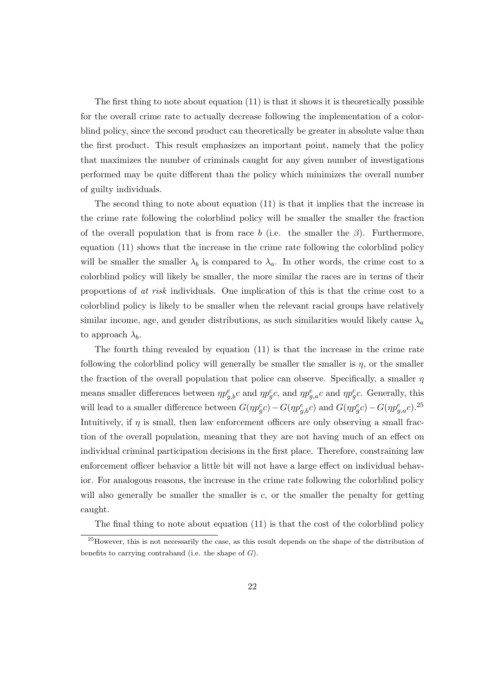The first thing to note about equation (11) is that it shows it is theoretically possible for the overall crime rate to actually decrease following the implementation of a colorblind policy, since the second product can theoretically be greater in absolute value than the first product. This result emphasizes an important point, namely that the policy that maximizes the number of criminals caught for any given number of investigations performed may be quite different than the policy which minimizes the overall number of guilty individuals.

The second thing to note about equation (11) is that it implies that the increase in the crime rate following the colorblind policy will be smaller the smaller the fraction of the overall population that is from race b (i.e. the smaller the  $\beta$ ). Furthermore, equation (11) shows that the increase in the crime rate following the colorblind policy will be smaller the smaller  $\lambda_b$  is compared to  $\lambda_a$ . In other words, the crime cost to a colorblind policy will likely be smaller, the more similar the races are in terms of their proportions of at risk individuals. One implication of this is that the crime cost to a colorblind policy is likely to be smaller when the relevant racial groups have relatively similar income, age, and gender distributions, as such similarities would likely cause  $\lambda_a$ to approach  $\lambda_b$ .

The fourth thing revealed by equation (11) is that the increase in the crime rate following the colorblind policy will generally be smaller the smaller is  $\eta$ , or the smaller the fraction of the overall population that police can observe. Specifically, a smaller  $\eta$ means smaller differences between  $\eta p_{g,b}^e c$  and  $\eta p_g^c c$ , and  $\eta p_{g,c}^e c$  and  $\eta p_g^c c$ . Generally, this will lead to a smaller difference between  $G(\eta p_g^c c) - G(\eta p_{g,b}^e c)$  and  $G(\eta p_g^c c) - G(\eta p_{g,a}^e c)$ .<sup>25</sup> Intuitively, if  $\eta$  is small, then law enforcement officers are only observing a small fraction of the overall population, meaning that they are not having much of an effect on individual criminal participation decisions in the first place. Therefore, constraining law enforcement officer behavior a little bit will not have a large effect on individual behavior. For analogous reasons, the increase in the crime rate following the colorblind policy will also generally be smaller the smaller is  $c$ , or the smaller the penalty for getting caught.

The final thing to note about equation (11) is that the cost of the colorblind policy

<sup>&</sup>lt;sup>25</sup>However, this is not necessarily the case, as this result depends on the shape of the distribution of benefits to carrying contraband (i.e. the shape of  $G$ ).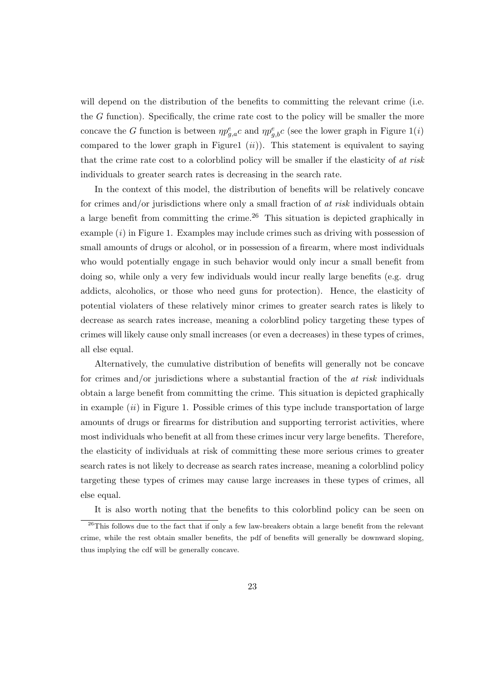will depend on the distribution of the benefits to committing the relevant crime (i.e. the G function). Specifically, the crime rate cost to the policy will be smaller the more concave the G function is between  $\eta p_{g,a}^e c$  and  $\eta p_{g,b}^e c$  (see the lower graph in Figure 1(*i*) compared to the lower graph in Figure1  $(ii)$ ). This statement is equivalent to saying that the crime rate cost to a colorblind policy will be smaller if the elasticity of at risk individuals to greater search rates is decreasing in the search rate.

In the context of this model, the distribution of benefits will be relatively concave for crimes and/or jurisdictions where only a small fraction of  $at$  risk individuals obtain a large benefit from committing the crime.<sup>26</sup> This situation is depicted graphically in example  $(i)$  in Figure 1. Examples may include crimes such as driving with possession of small amounts of drugs or alcohol, or in possession of a firearm, where most individuals who would potentially engage in such behavior would only incur a small benefit from doing so, while only a very few individuals would incur really large benefits (e.g. drug addicts, alcoholics, or those who need guns for protection). Hence, the elasticity of potential violaters of these relatively minor crimes to greater search rates is likely to decrease as search rates increase, meaning a colorblind policy targeting these types of crimes will likely cause only small increases (or even a decreases) in these types of crimes, all else equal.

Alternatively, the cumulative distribution of benefits will generally not be concave for crimes and/or jurisdictions where a substantial fraction of the  $at$  risk individuals obtain a large benefit from committing the crime. This situation is depicted graphically in example  $(ii)$  in Figure 1. Possible crimes of this type include transportation of large amounts of drugs or firearms for distribution and supporting terrorist activities, where most individuals who benefit at all from these crimes incur very large benefits. Therefore, the elasticity of individuals at risk of committing these more serious crimes to greater search rates is not likely to decrease as search rates increase, meaning a colorblind policy targeting these types of crimes may cause large increases in these types of crimes, all else equal.

It is also worth noting that the benefits to this colorblind policy can be seen on

<sup>&</sup>lt;sup>26</sup>This follows due to the fact that if only a few law-breakers obtain a large benefit from the relevant crime, while the rest obtain smaller benefits, the pdf of benefits will generally be downward sloping, thus implying the cdf will be generally concave.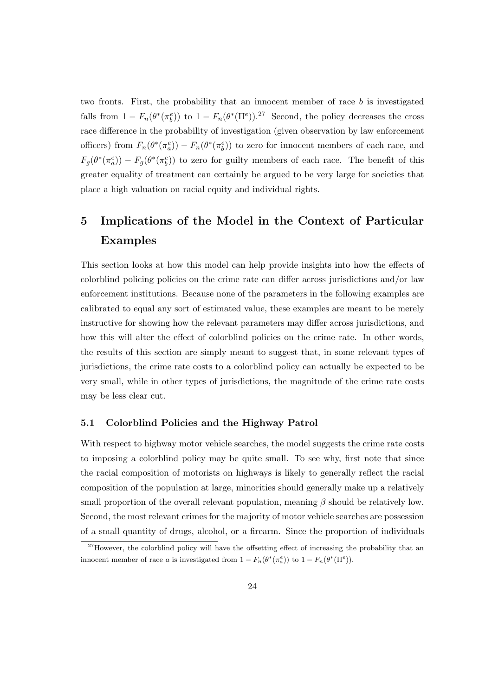two fronts. First, the probability that an innocent member of race b is investigated falls from  $1 - F_n(\theta^*(\pi_b^e))$  to  $1 - F_n(\theta^*(\Pi^e))$ .<sup>27</sup> Second, the policy decreases the cross race difference in the probability of investigation (given observation by law enforcement officers) from  $F_n(\theta^*(\pi_a^e)) - F_n(\theta^*(\pi_b^e))$  to zero for innocent members of each race, and  $F_g(\theta^*(\pi_a^e)) - F_g(\theta^*(\pi_b^e))$  to zero for guilty members of each race. The benefit of this greater equality of treatment can certainly be argued to be very large for societies that place a high valuation on racial equity and individual rights.

# 5 Implications of the Model in the Context of Particular Examples

This section looks at how this model can help provide insights into how the effects of colorblind policing policies on the crime rate can differ across jurisdictions and/or law enforcement institutions. Because none of the parameters in the following examples are calibrated to equal any sort of estimated value, these examples are meant to be merely instructive for showing how the relevant parameters may differ across jurisdictions, and how this will alter the effect of colorblind policies on the crime rate. In other words, the results of this section are simply meant to suggest that, in some relevant types of jurisdictions, the crime rate costs to a colorblind policy can actually be expected to be very small, while in other types of jurisdictions, the magnitude of the crime rate costs may be less clear cut.

#### 5.1 Colorblind Policies and the Highway Patrol

With respect to highway motor vehicle searches, the model suggests the crime rate costs to imposing a colorblind policy may be quite small. To see why, first note that since the racial composition of motorists on highways is likely to generally reflect the racial composition of the population at large, minorities should generally make up a relatively small proportion of the overall relevant population, meaning  $\beta$  should be relatively low. Second, the most relevant crimes for the majority of motor vehicle searches are possession of a small quantity of drugs, alcohol, or a firearm. Since the proportion of individuals

 $^{27}$ However, the colorblind policy will have the offsetting effect of increasing the probability that an innocent member of race a is investigated from  $1 - F_n(\theta^*(\pi_a^e))$  to  $1 - F_n(\theta^*(\Pi^e)).$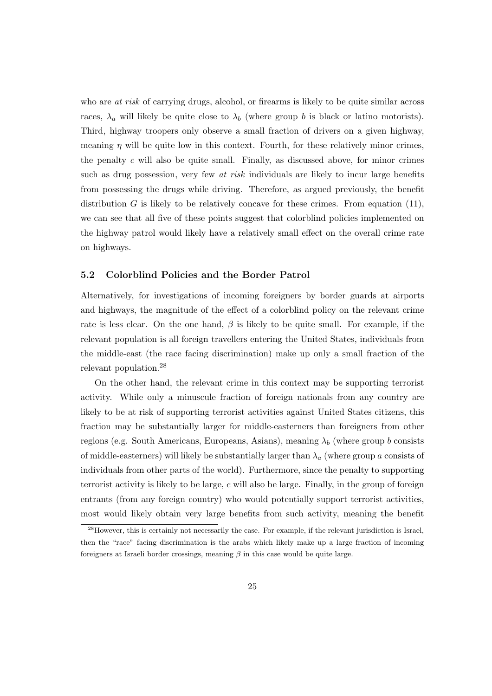who are *at risk* of carrying drugs, alcohol, or firearms is likely to be quite similar across races,  $\lambda_a$  will likely be quite close to  $\lambda_b$  (where group b is black or latino motorists). Third, highway troopers only observe a small fraction of drivers on a given highway, meaning  $\eta$  will be quite low in this context. Fourth, for these relatively minor crimes, the penalty  $c$  will also be quite small. Finally, as discussed above, for minor crimes such as drug possession, very few *at risk* individuals are likely to incur large benefits from possessing the drugs while driving. Therefore, as argued previously, the benefit distribution  $G$  is likely to be relatively concave for these crimes. From equation (11), we can see that all five of these points suggest that colorblind policies implemented on the highway patrol would likely have a relatively small effect on the overall crime rate on highways.

#### 5.2 Colorblind Policies and the Border Patrol

Alternatively, for investigations of incoming foreigners by border guards at airports and highways, the magnitude of the effect of a colorblind policy on the relevant crime rate is less clear. On the one hand,  $\beta$  is likely to be quite small. For example, if the relevant population is all foreign travellers entering the United States, individuals from the middle-east (the race facing discrimination) make up only a small fraction of the relevant population.<sup>28</sup>

On the other hand, the relevant crime in this context may be supporting terrorist activity. While only a minuscule fraction of foreign nationals from any country are likely to be at risk of supporting terrorist activities against United States citizens, this fraction may be substantially larger for middle-easterners than foreigners from other regions (e.g. South Americans, Europeans, Asians), meaning  $\lambda_b$  (where group b consists of middle-easterners) will likely be substantially larger than  $\lambda_a$  (where group a consists of individuals from other parts of the world). Furthermore, since the penalty to supporting terrorist activity is likely to be large,  $c$  will also be large. Finally, in the group of foreign entrants (from any foreign country) who would potentially support terrorist activities, most would likely obtain very large benefits from such activity, meaning the benefit

<sup>&</sup>lt;sup>28</sup>However, this is certainly not necessarily the case. For example, if the relevant jurisdiction is Israel, then the "race" facing discrimination is the arabs which likely make up a large fraction of incoming foreigners at Israeli border crossings, meaning  $\beta$  in this case would be quite large.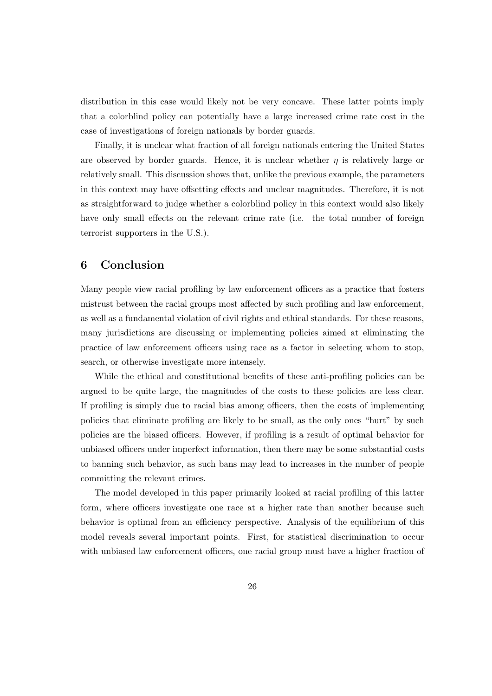distribution in this case would likely not be very concave. These latter points imply that a colorblind policy can potentially have a large increased crime rate cost in the case of investigations of foreign nationals by border guards.

Finally, it is unclear what fraction of all foreign nationals entering the United States are observed by border guards. Hence, it is unclear whether  $\eta$  is relatively large or relatively small. This discussion shows that, unlike the previous example, the parameters in this context may have offsetting effects and unclear magnitudes. Therefore, it is not as straightforward to judge whether a colorblind policy in this context would also likely have only small effects on the relevant crime rate (i.e. the total number of foreign terrorist supporters in the U.S.).

## 6 Conclusion

Many people view racial profiling by law enforcement officers as a practice that fosters mistrust between the racial groups most affected by such profiling and law enforcement, as well as a fundamental violation of civil rights and ethical standards. For these reasons, many jurisdictions are discussing or implementing policies aimed at eliminating the practice of law enforcement officers using race as a factor in selecting whom to stop, search, or otherwise investigate more intensely.

While the ethical and constitutional benefits of these anti-profiling policies can be argued to be quite large, the magnitudes of the costs to these policies are less clear. If profiling is simply due to racial bias among officers, then the costs of implementing policies that eliminate profiling are likely to be small, as the only ones "hurt" by such policies are the biased officers. However, if profiling is a result of optimal behavior for unbiased officers under imperfect information, then there may be some substantial costs to banning such behavior, as such bans may lead to increases in the number of people committing the relevant crimes.

The model developed in this paper primarily looked at racial profiling of this latter form, where officers investigate one race at a higher rate than another because such behavior is optimal from an efficiency perspective. Analysis of the equilibrium of this model reveals several important points. First, for statistical discrimination to occur with unbiased law enforcement officers, one racial group must have a higher fraction of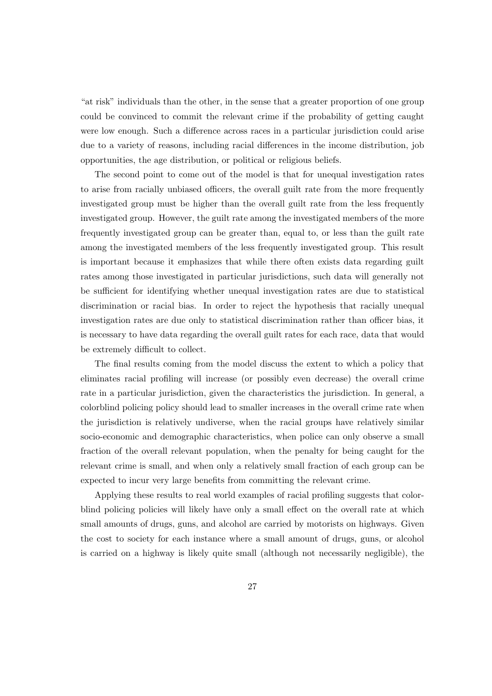"at risk" individuals than the other, in the sense that a greater proportion of one group could be convinced to commit the relevant crime if the probability of getting caught were low enough. Such a difference across races in a particular jurisdiction could arise due to a variety of reasons, including racial differences in the income distribution, job opportunities, the age distribution, or political or religious beliefs.

The second point to come out of the model is that for unequal investigation rates to arise from racially unbiased officers, the overall guilt rate from the more frequently investigated group must be higher than the overall guilt rate from the less frequently investigated group. However, the guilt rate among the investigated members of the more frequently investigated group can be greater than, equal to, or less than the guilt rate among the investigated members of the less frequently investigated group. This result is important because it emphasizes that while there often exists data regarding guilt rates among those investigated in particular jurisdictions, such data will generally not be sufficient for identifying whether unequal investigation rates are due to statistical discrimination or racial bias. In order to reject the hypothesis that racially unequal investigation rates are due only to statistical discrimination rather than officer bias, it is necessary to have data regarding the overall guilt rates for each race, data that would be extremely difficult to collect.

The final results coming from the model discuss the extent to which a policy that eliminates racial profiling will increase (or possibly even decrease) the overall crime rate in a particular jurisdiction, given the characteristics the jurisdiction. In general, a colorblind policing policy should lead to smaller increases in the overall crime rate when the jurisdiction is relatively undiverse, when the racial groups have relatively similar socio-economic and demographic characteristics, when police can only observe a small fraction of the overall relevant population, when the penalty for being caught for the relevant crime is small, and when only a relatively small fraction of each group can be expected to incur very large benefits from committing the relevant crime.

Applying these results to real world examples of racial profiling suggests that colorblind policing policies will likely have only a small effect on the overall rate at which small amounts of drugs, guns, and alcohol are carried by motorists on highways. Given the cost to society for each instance where a small amount of drugs, guns, or alcohol is carried on a highway is likely quite small (although not necessarily negligible), the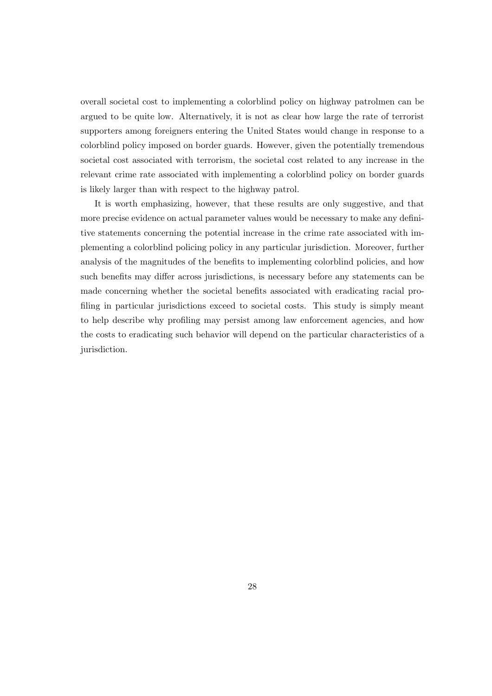overall societal cost to implementing a colorblind policy on highway patrolmen can be argued to be quite low. Alternatively, it is not as clear how large the rate of terrorist supporters among foreigners entering the United States would change in response to a colorblind policy imposed on border guards. However, given the potentially tremendous societal cost associated with terrorism, the societal cost related to any increase in the relevant crime rate associated with implementing a colorblind policy on border guards is likely larger than with respect to the highway patrol.

It is worth emphasizing, however, that these results are only suggestive, and that more precise evidence on actual parameter values would be necessary to make any definitive statements concerning the potential increase in the crime rate associated with implementing a colorblind policing policy in any particular jurisdiction. Moreover, further analysis of the magnitudes of the benefits to implementing colorblind policies, and how such benefits may differ across jurisdictions, is necessary before any statements can be made concerning whether the societal benefits associated with eradicating racial profiling in particular jurisdictions exceed to societal costs. This study is simply meant to help describe why profiling may persist among law enforcement agencies, and how the costs to eradicating such behavior will depend on the particular characteristics of a jurisdiction.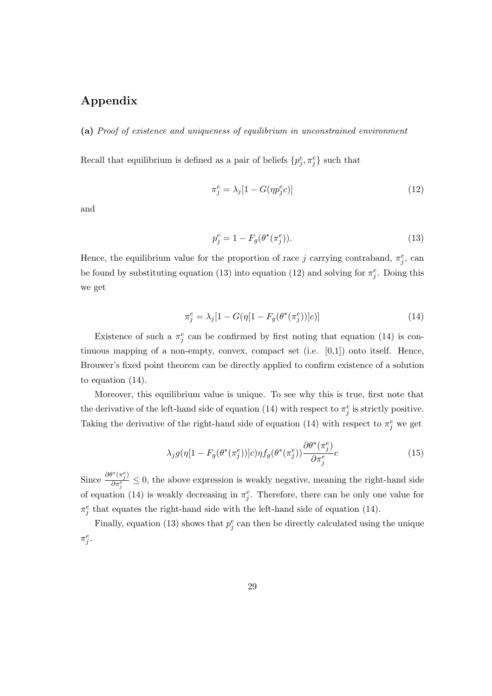# Appendix

(a) Proof of existence and uniqueness of equilibrium in unconstrained environment

Recall that equilibrium is defined as a pair of beliefs  $\{p_j^e, \pi_j^e\}$  such that

$$
\pi_j^e = \lambda_j [1 - G(\eta p_j^e c)] \tag{12}
$$

and

$$
p_j^e = 1 - F_g(\theta^*(\pi_j^e)).
$$
\n(13)

Hence, the equilibrium value for the proportion of race j carrying contraband,  $\pi_j^e$ , can be found by substituting equation (13) into equation (12) and solving for  $\pi_j^e$ . Doing this we get

$$
\pi_j^e = \lambda_j [1 - G(\eta [1 - F_g(\theta^*(\pi_j^e))]c)] \tag{14}
$$

Existence of such a  $\pi_j^e$  can be confirmed by first noting that equation (14) is continuous mapping of a non-empty, convex, compact set  $(i.e. [0,1])$  onto itself. Hence, Brouwer's fixed point theorem can be directly applied to confirm existence of a solution to equation (14).

Moreover, this equilibrium value is unique. To see why this is true, first note that the derivative of the left-hand side of equation (14) with respect to  $\pi_j^e$  is strictly positive. Taking the derivative of the right-hand side of equation (14) with respect to  $\pi_j^e$  we get

$$
\lambda_j g(\eta[1 - F_g(\theta^*(\pi_j^e))]c)\eta f_g(\theta^*(\pi_j^e)) \frac{\partial \theta^*(\pi_j^e)}{\partial \pi_j^e}c \tag{15}
$$

Since  $\frac{\partial \theta^*(\pi_j^e)}{\partial \pi^e}$  $\frac{\sum_{i=1}^{N} x_i}{\partial \pi_i^e} \leq 0$ , the above expression is weakly negative, meaning the right-hand side of equation (14) is weakly decreasing in  $\pi_j^e$ . Therefore, there can be only one value for  $\pi_j^e$  that equates the right-hand side with the left-hand side of equation (14).

Finally, equation (13) shows that  $p_j^e$  can then be directly calculated using the unique  $\pi_j^e$ .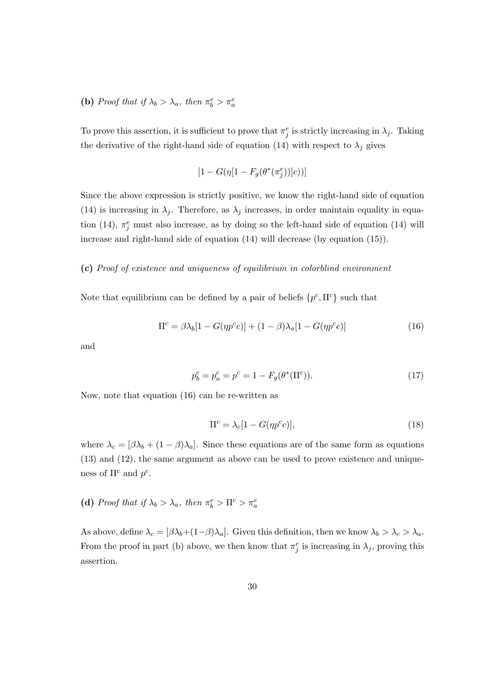# (b) Proof that if  $\lambda_b > \lambda_a$ , then  $\pi_b^e > \pi_a^e$

To prove this assertion, it is sufficient to prove that  $\pi_j^e$  is strictly increasing in  $\lambda_j$ . Taking the derivative of the right-hand side of equation (14) with respect to  $\lambda_j$  gives

$$
[1 - G(\eta[1 - F_g(\theta^*(\pi_j^e))]c))]
$$

Since the above expression is strictly positive, we know the right-hand side of equation (14) is increasing in  $\lambda_j$ . Therefore, as  $\lambda_j$  increases, in order maintain equality in equation (14),  $\pi_j^e$  must also increase, as by doing so the left-hand side of equation (14) will increase and right-hand side of equation (14) will decrease (by equation (15)).

#### (c) Proof of existence and uniqueness of equilibrium in colorblind environment

Note that equilibrium can be defined by a pair of beliefs  $\{p^c, \Pi^c\}$  such that

$$
\Pi^{c} = \beta \lambda_b [1 - G(\eta p^c c)] + (1 - \beta) \lambda_a [1 - G(\eta p^c c)] \tag{16}
$$

and

$$
p_b^c = p_a^c = p^c = 1 - F_g(\theta^*(\Pi^c)).
$$
\n(17)

Now, note that equation (16) can be re-written as

$$
\Pi^c = \lambda_c [1 - G(\eta p^c c)],\tag{18}
$$

where  $\lambda_c = [\beta \lambda_b + (1 - \beta) \lambda_a]$ . Since these equations are of the same form as equations (13) and (12), the same argument as above can be used to prove existence and uniqueness of  $\Pi^c$  and  $p^c$ .

# (d) Proof that if  $\lambda_b > \lambda_a$ , then  $\pi_b^e > \Pi^c > \pi_a^e$

As above, define  $\lambda_c = [\beta \lambda_b + (1-\beta)\lambda_a]$ . Given this definition, then we know  $\lambda_b > \lambda_c > \lambda_a$ . From the proof in part (b) above, we then know that  $\pi_j^e$  is increasing in  $\lambda_j$ , proving this assertion.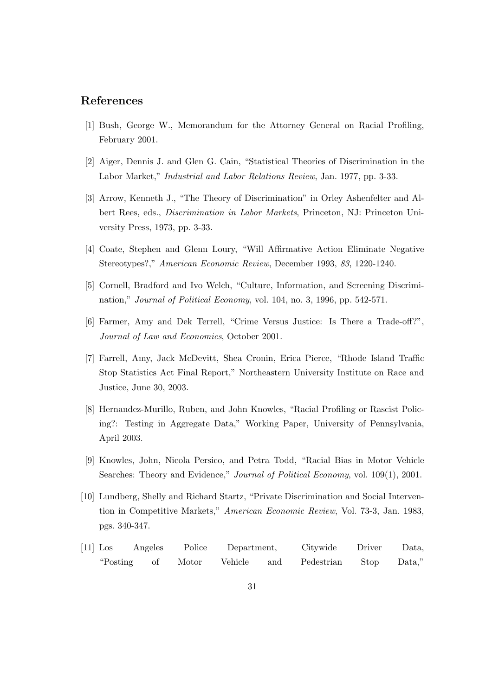### References

- [1] Bush, George W., Memorandum for the Attorney General on Racial Profiling, February 2001.
- [2] Aiger, Dennis J. and Glen G. Cain, "Statistical Theories of Discrimination in the Labor Market," Industrial and Labor Relations Review, Jan. 1977, pp. 3-33.
- [3] Arrow, Kenneth J., "The Theory of Discrimination" in Orley Ashenfelter and Albert Rees, eds., Discrimination in Labor Markets, Princeton, NJ: Princeton University Press, 1973, pp. 3-33.
- [4] Coate, Stephen and Glenn Loury, "Will Affirmative Action Eliminate Negative Stereotypes?," American Economic Review, December 1993, 83, 1220-1240.
- [5] Cornell, Bradford and Ivo Welch, "Culture, Information, and Screening Discrimination," Journal of Political Economy, vol. 104, no. 3, 1996, pp. 542-571.
- [6] Farmer, Amy and Dek Terrell, "Crime Versus Justice: Is There a Trade-off?", Journal of Law and Economics, October 2001.
- [7] Farrell, Amy, Jack McDevitt, Shea Cronin, Erica Pierce, "Rhode Island Traffic Stop Statistics Act Final Report," Northeastern University Institute on Race and Justice, June 30, 2003.
- [8] Hernandez-Murillo, Ruben, and John Knowles, "Racial Profiling or Rascist Policing?: Testing in Aggregate Data," Working Paper, University of Pennsylvania, April 2003.
- [9] Knowles, John, Nicola Persico, and Petra Todd, "Racial Bias in Motor Vehicle Searches: Theory and Evidence," Journal of Political Economy, vol. 109(1), 2001.
- [10] Lundberg, Shelly and Richard Startz, "Private Discrimination and Social Intervention in Competitive Markets," American Economic Review, Vol. 73-3, Jan. 1983, pgs. 340-347.
- [11] Los Angeles Police Department, Citywide Driver Data, "Posting of Motor Vehicle and Pedestrian Stop Data,"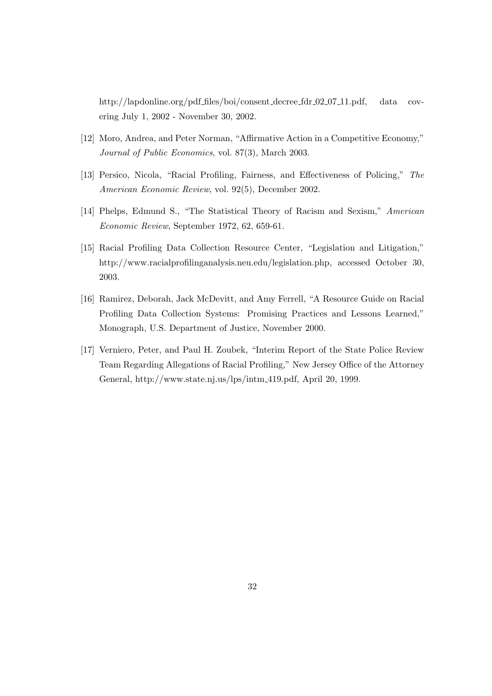http://lapdonline.org/pdf files/boi/consent decree fdr 02 07 11.pdf, data covering July 1, 2002 - November 30, 2002.

- [12] Moro, Andrea, and Peter Norman, "Affirmative Action in a Competitive Economy," Journal of Public Economics, vol. 87(3), March 2003.
- [13] Persico, Nicola, "Racial Profiling, Fairness, and Effectiveness of Policing," The American Economic Review, vol. 92(5), December 2002.
- [14] Phelps, Edmund S., "The Statistical Theory of Racism and Sexism," American Economic Review, September 1972, 62, 659-61.
- [15] Racial Profiling Data Collection Resource Center, "Legislation and Litigation," http://www.racialprofilinganalysis.neu.edu/legislation.php, accessed October 30, 2003.
- [16] Ramirez, Deborah, Jack McDevitt, and Amy Ferrell, "A Resource Guide on Racial Profiling Data Collection Systems: Promising Practices and Lessons Learned," Monograph, U.S. Department of Justice, November 2000.
- [17] Verniero, Peter, and Paul H. Zoubek, "Interim Report of the State Police Review Team Regarding Allegations of Racial Profiling," New Jersey Office of the Attorney General, http://www.state.nj.us/lps/intm 419.pdf, April 20, 1999.